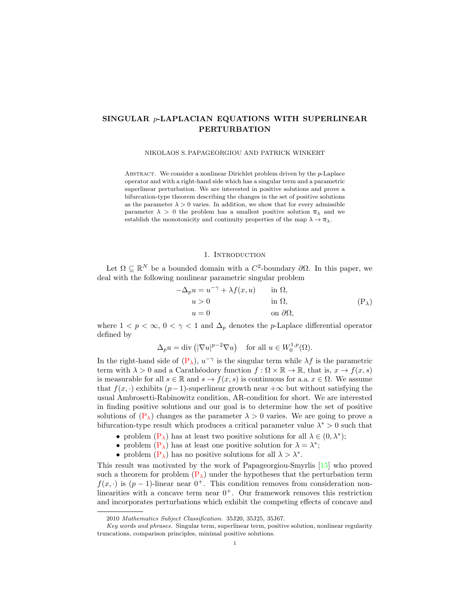# SINGULAR p-LAPLACIAN EQUATIONS WITH SUPERLINEAR PERTURBATION

NIKOLAOS S. PAPAGEORGIOU AND PATRICK WINKERT

ABSTRACT. We consider a nonlinear Dirichlet problem driven by the  $p$ -Laplace operator and with a right-hand side which has a singular term and a parametric superlinear perturbation. We are interested in positive solutions and prove a bifurcation-type theorem describing the changes in the set of positive solutions as the parameter  $\lambda > 0$  varies. In addition, we show that for every admissible parameter  $\lambda > 0$  the problem has a smallest positive solution  $\overline{u}_{\lambda}$  and we establish the monotonicity and continuity properties of the map  $\lambda \to \overline{u}_{\lambda}$ .

## <span id="page-0-0"></span>1. INTRODUCTION

Let  $\Omega \subseteq \mathbb{R}^N$  be a bounded domain with a  $C^2$ -boundary  $\partial\Omega$ . In this paper, we deal with the following nonlinear parametric singular problem

$$
-\Delta_p u = u^{-\gamma} + \lambda f(x, u) \quad \text{in } \Omega,
$$
  
\n
$$
u > 0 \quad \text{in } \Omega,
$$
  
\n
$$
u = 0 \quad \text{on } \partial\Omega,
$$
  
\n(P<sub>\lambda</sub>)

where  $1 < p < \infty$ ,  $0 < \gamma < 1$  and  $\Delta_p$  denotes the *p*-Laplace differential operator defined by

$$
\Delta_p u = \text{div} \left( |\nabla u|^{p-2} \nabla u \right) \quad \text{for all } u \in W_0^{1,p}(\Omega).
$$

In the right-hand side of  $(P_{\lambda})$ ,  $u^{-\gamma}$  is the singular term while  $\lambda f$  is the parametric term with  $\lambda > 0$  and a Carathéodory function  $f : \Omega \times \mathbb{R} \to \mathbb{R}$ , that is,  $x \to f(x, s)$ is measurable for all  $s \in \mathbb{R}$  and  $s \to f(x, s)$  is continuous for a.a.  $x \in \Omega$ . We assume that  $f(x, \cdot)$  exhibits  $(p-1)$ -superlinear growth near  $+\infty$  but without satisfying the usual Ambrosetti-Rabinowitz condition, AR-condition for short. We are interested in finding positive solutions and our goal is to determine how the set of positive solutions of  $(P_\lambda)$  changes as the parameter  $\lambda > 0$  varies. We are going to prove a bifurcation-type result which produces a critical parameter value  $\lambda^* > 0$  such that

- problem  $(P_{\lambda})$  has at least two positive solutions for all  $\lambda \in (0, \lambda^*)$ ;
- problem  $(P_{\lambda})$  has at least one positive solution for  $\lambda = \lambda^*$ ;
- problem  $(P_{\lambda})$  has no positive solutions for all  $\lambda > \lambda^*$ .

This result was motivated by the work of Papageorgiou-Smyrlis [\[15\]](#page-20-0) who proved such a theorem for problem  $(P_{\lambda})$  under the hypotheses that the perturbation term  $f(x, \cdot)$  is  $(p-1)$ -linear near  $0^+$ . This condition removes from consideration nonlinearities with a concave term near  $0^+$ . Our framework removes this restriction and incorporates perturbations which exhibit the competing effects of concave and

<sup>2010</sup> Mathematics Subject Classification. 35J20, 35J25, 35J67.

Key words and phrases. Singular term, superlinear term, positive solution, nonlinear regularity truncations, comparison principles, minimal positive solutions.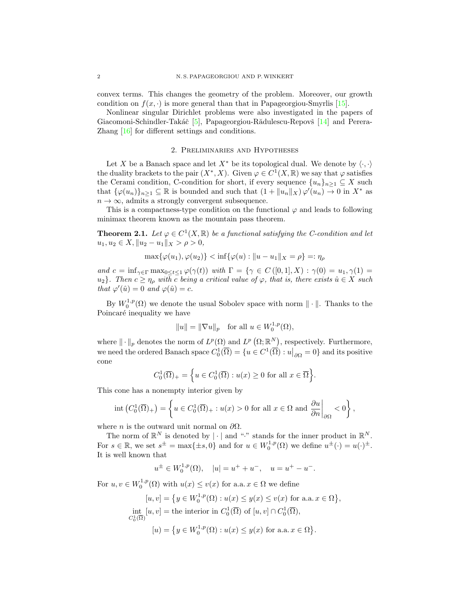convex terms. This changes the geometry of the problem. Moreover, our growth condition on  $f(x, \cdot)$  is more general than that in Papageorgiou-Smyrlis [\[15\]](#page-20-0).

Nonlinear singular Dirichlet problems were also investigated in the papers of Giacomoni-Schindler-Takáč [\[5\]](#page-20-1), Papageorgiou-Rădulescu-Repovš [\[14\]](#page-20-2) and Perera-Zhang [\[16\]](#page-20-3) for different settings and conditions.

## 2. Preliminaries and Hypotheses

Let X be a Banach space and let  $X^*$  be its topological dual. We denote by  $\langle \cdot, \cdot \rangle$ the duality brackets to the pair  $(X^*, X)$ . Given  $\varphi \in C^1(X, \mathbb{R})$  we say that  $\varphi$  satisfies the Cerami condition, C-condition for short, if every sequence  ${u_n}_{n\geq 1} \subseteq X$  such that  $\{\varphi(u_n)\}_{n\geq 1}\subseteq\mathbb{R}$  is bounded and such that  $(1+\|u_n\|_X)\varphi'(u_n)\to 0$  in  $X^*$  as  $n \to \infty$ , admits a strongly convergent subsequence.

This is a compactness-type condition on the functional  $\varphi$  and leads to following minimax theorem known as the mountain pass theorem.

<span id="page-1-0"></span>**Theorem 2.1.** Let  $\varphi \in C^1(X,\mathbb{R})$  be a functional satisfying the C-condition and let  $u_1, u_2 \in X, \|u_2 - u_1\|_X > \rho > 0,$ 

$$
\max\{\varphi(u_1), \varphi(u_2)\} < \inf\{\varphi(u) : \|u - u_1\|_X = \rho\} =: \eta_\rho
$$

and  $c = \inf_{\gamma \in \Gamma} \max_{0 \le t \le 1} \varphi(\gamma(t))$  with  $\Gamma = \{ \gamma \in C([0,1], X) : \gamma(0) = u_1, \gamma(1) =$ u<sub>2</sub>}. Then  $c \geq \eta_{\rho}$  with c being a critical value of  $\varphi$ , that is, there exists  $\hat{u} \in X$  such that  $\varphi'(\hat{u}) = 0$  and  $\varphi(\hat{u}) = c$ .

By  $W_0^{1,p}(\Omega)$  we denote the usual Sobolev space with norm  $\|\cdot\|$ . Thanks to the Poincaré inequality we have

$$
||u|| = ||\nabla u||_p \quad \text{for all } u \in W_0^{1,p}(\Omega),
$$

where  $\|\cdot\|_p$  denotes the norm of  $L^p(\Omega)$  and  $L^p(\Omega;\mathbb{R}^N)$ , respectively. Furthermore, we need the ordered Banach space  $C_0^1(\overline{\Omega}) = \{u \in C^1(\overline{\Omega}) : u|_{\partial \Omega} = 0\}$  and its positive cone

$$
C_0^1(\overline{\Omega})_+ = \left\{ u \in C_0^1(\overline{\Omega}) : u(x) \ge 0 \text{ for all } x \in \overline{\Omega} \right\}.
$$

This cone has a nonempty interior given by

$$
\mathrm{int}\left(C_0^1(\overline{\Omega})_+\right) = \left\{ u \in C_0^1(\overline{\Omega})_+ : u(x) > 0 \text{ for all } x \in \Omega \text{ and } \frac{\partial u}{\partial n}\bigg|_{\partial \Omega} < 0 \right\},\
$$

where *n* is the outward unit normal on  $\partial\Omega$ .

The norm of  $\mathbb{R}^N$  is denoted by  $|\cdot|$  and "." stands for the inner product in  $\mathbb{R}^N$ . For  $s \in \mathbb{R}$ , we set  $s^{\pm} = \max\{\pm s, 0\}$  and for  $u \in W_0^{1,p}(\Omega)$  we define  $u^{\pm}(\cdot) = u(\cdot)^{\pm}$ . It is well known that

$$
u^{\pm} \in W_0^{1,p}(\Omega)
$$
,  $|u| = u^+ + u^-$ ,  $u = u^+ - u^-$ .

For  $u, v \in W_0^{1,p}(\Omega)$  with  $u(x) \le v(x)$  for a.a.  $x \in \Omega$  we define

$$
[u, v] = \{ y \in W_0^{1, p}(\Omega) : u(x) \le y(x) \le v(x) \text{ for a.a. } x \in \Omega \},
$$
  
 
$$
\text{int}_{C_0^1(\overline{\Omega})} [u, v] = \text{the interior in } C_0^1(\overline{\Omega}) \text{ of } [u, v] \cap C_0^1(\overline{\Omega}),
$$
  
 
$$
[u] = \{ y \in W_0^{1, p}(\Omega) : u(x) \le y(x) \text{ for a.a. } x \in \Omega \}.
$$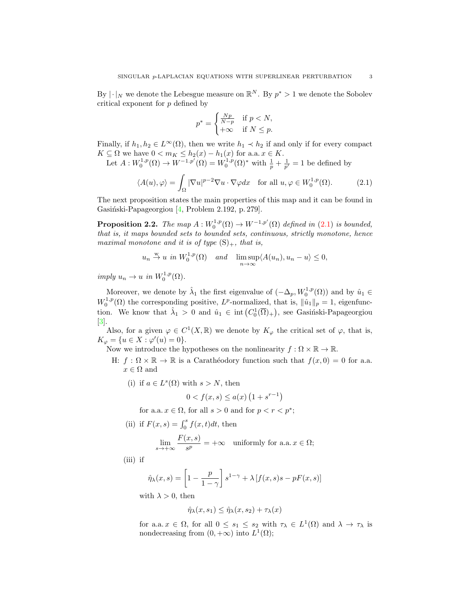By  $|\cdot|_N$  we denote the Lebesgue measure on  $\mathbb{R}^N$ . By  $p^* > 1$  we denote the Sobolev critical exponent for p defined by

<span id="page-2-0"></span>
$$
p^* = \begin{cases} \frac{Np}{N-p} & \text{if } p < N, \\ +\infty & \text{if } N \le p. \end{cases}
$$

Finally, if  $h_1, h_2 \in L^{\infty}(\Omega)$ , then we write  $h_1 \prec h_2$  if and only if for every compact  $K \subseteq \Omega$  we have  $0 < m_K \leq h_2(x) - h_1(x)$  for a.a.  $x \in K$ .

Let  $A: W_0^{1,p}(\Omega) \to W^{-1,p'}(\Omega) = W_0^{1,p}(\Omega)^*$  with  $\frac{1}{p} + \frac{1}{p'} = 1$  be defined by

$$
\langle A(u), \varphi \rangle = \int_{\Omega} |\nabla u|^{p-2} \nabla u \cdot \nabla \varphi dx \quad \text{for all } u, \varphi \in W_0^{1,p}(\Omega). \tag{2.1}
$$

The next proposition states the main properties of this map and it can be found in Gasiński-Papageorgiou [\[4,](#page-20-4) Problem 2.192, p. 279].

<span id="page-2-1"></span>**Proposition 2.2.** The map  $A: W_0^{1,p}(\Omega) \to W^{-1,p'}(\Omega)$  defined in [\(2.1\)](#page-2-0) is bounded, that is, it maps bounded sets to bounded sets, continuous, strictly monotone, hence maximal monotone and it is of type  $(S)_+$ , that is,

$$
u_n \stackrel{w}{\to} u
$$
 in  $W_0^{1,p}(\Omega)$  and  $\lim_{n \to \infty} \sup \langle A(u_n), u_n - u \rangle \leq 0$ ,

imply  $u_n \to u$  in  $W_0^{1,p}(\Omega)$ .

Moreover, we denote by  $\hat{\lambda}_1$  the first eigenvalue of  $(-\Delta_p, W_0^{1,p}(\Omega))$  and by  $\hat{u}_1 \in$  $W_0^{1,p}(\Omega)$  the corresponding positive,  $L^p$ -normalized, that is,  $\|\hat{u}_1\|_p = 1$ , eigenfunction. We know that  $\hat{\lambda}_1 > 0$  and  $\hat{u}_1 \in \text{int}(C_0^1(\overline{\Omega})_+)$ , see Gasinski-Papageorgiou [\[3\]](#page-20-5).

Also, for a given  $\varphi \in C^1(X,\mathbb{R})$  we denote by  $K_{\varphi}$  the critical set of  $\varphi$ , that is,  $K_{\varphi} = \{u \in X : \varphi'(u) = 0\}.$ 

Now we introduce the hypotheses on the nonlinearity  $f : \Omega \times \mathbb{R} \to \mathbb{R}$ .

- H:  $f : \Omega \times \mathbb{R} \to \mathbb{R}$  is a Caratheodory function such that  $f(x, 0) = 0$  for a.a.  $x \in \Omega$  and
	- (i) if  $a \in L^{s}(\Omega)$  with  $s > N$ , then

$$
0 < f(x, s) \le a(x) \left( 1 + s^{r-1} \right)
$$

for a.a.  $x \in \Omega$ , for all  $s > 0$  and for  $p < r < p^*$ ;

(ii) if 
$$
F(x, s) = \int_0^s f(x, t)dt
$$
, then

$$
\lim_{s \to +\infty} \frac{F(x, s)}{s^p} = +\infty \quad \text{uniformly for a.a. } x \in \Omega;
$$

(iii) if

$$
\hat{\eta}_{\lambda}(x,s) = \left[1 - \frac{p}{1-\gamma}\right]s^{1-\gamma} + \lambda \left[f(x,s)s - pF(x,s)\right]
$$

with  $\lambda > 0$ , then

$$
\hat{\eta}_{\lambda}(x,s_1) \le \hat{\eta}_{\lambda}(x,s_2) + \tau_{\lambda}(x)
$$

for a.a.  $x \in \Omega$ , for all  $0 \leq s_1 \leq s_2$  with  $\tau_\lambda \in L^1(\Omega)$  and  $\lambda \to \tau_\lambda$  is nondecreasing from  $(0, +\infty)$  into  $L^1(\Omega)$ ;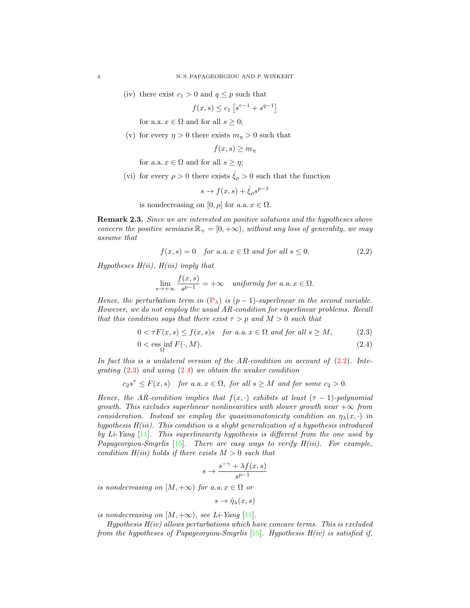(iv) there exist  $c_1 > 0$  and  $q \leq p$  such that

$$
f(x,s) \le c_1 \left[ s^{r-1} + s^{q-1} \right]
$$

for a.a.  $x \in \Omega$  and for all  $s \geq 0$ ;

(v) for every  $\eta > 0$  there exists  $m_{\eta} > 0$  such that

$$
f(x,s) \ge m_{\eta}
$$

for a.a.  $x \in \Omega$  and for all  $s \geq \eta$ ;

(vi) for every  $\rho > 0$  there exists  $\hat{\xi}_{\rho} > 0$  such that the function

<span id="page-3-0"></span>
$$
s \to f(x, s) + \hat{\xi}_{\rho} s^{p-1}
$$

is nondecreasing on  $[0, \rho]$  for a.a.  $x \in \Omega$ .

Remark 2.3. Since we are interested on positive solutions and the hypotheses above concern the positive semiaxis  $\mathbb{R}_+ = [0, +\infty)$ , without any loss of generality, we may assume that

$$
f(x,s) = 0 \quad \text{for a.a. } x \in \Omega \text{ and for all } s \le 0. \tag{2.2}
$$

Hypotheses  $H(ii)$ ,  $H(iii)$  imply that

<span id="page-3-1"></span>
$$
\lim_{s \to +\infty} \frac{f(x, s)}{s^{p-1}} = +\infty \quad \text{uniformly for a.a. } x \in \Omega.
$$

Hence, the perturbation term in  $(P_{\lambda})$  $(P_{\lambda})$  is  $(p-1)$ -superlinear in the second variable. However, we do not employ the usual AR-condition for superlinear problems. Recall that this condition says that there exist  $\tau > p$  and  $M > 0$  such that

$$
0 < \tau F(x, s) \le f(x, s)s \quad \text{for a.a. } x \in \Omega \text{ and for all } s \ge M,\tag{2.3}
$$

$$
0 < \operatorname{ess\ inf}_{\Omega} F(\cdot, M). \tag{2.4}
$$

In fact this is a unilateral version of the AR-condition on account of  $(2.2)$ . Integrating  $(2.3)$  and using  $(2.4)$  we obtain the weaker condition

$$
c_2s^{\tau} \leq F(x, s)
$$
 for a.a.  $x \in \Omega$ , for all  $s \geq M$  and for some  $c_2 > 0$ .

Hence, the AR-condition implies that  $f(x, \cdot)$  exhibits at least  $(\tau - 1)$ -polynomial growth. This excludes superlinear nonlinearities with slower growth near  $+\infty$  from consideration. Instead we employ the quasimonotonicity condition on  $\eta_{\lambda}(x, \cdot)$  in hypothesis  $H(iii)$ . This condition is a slight generalization of a hypothesis introduced by Li-Yang [\[11\]](#page-20-6). This superlinearity hypothesis is different from the one used by Papageorgiou-Smyrlis  $[15]$ . There are easy ways to verify  $H(iii)$ . For example, condition  $H(iii)$  holds if there exists  $M > 0$  such that

<span id="page-3-2"></span>
$$
s\to \frac{s^{-\gamma}+\lambda f(x,s)}{s^{p-1}}
$$

is nondecreasing on  $[M, +\infty)$  for a.a.  $x \in \Omega$  or

$$
s \to \hat{\eta}_{\lambda}(x, s)
$$

is nondecreasing on  $[M, +\infty)$ , see Li-Yang [\[11\]](#page-20-6).

Hypothesis  $H(iv)$  allows perturbations which have concave terms. This is excluded from the hypotheses of Papageorgiou-Smyrlis  $[15]$ . Hypothesis H(iv) is satisfied if,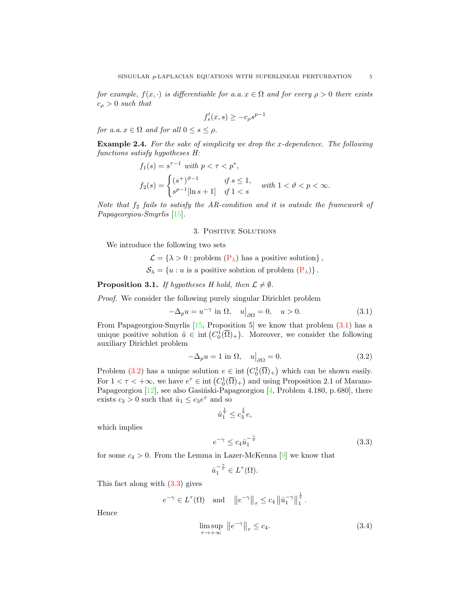for example,  $f(x, \cdot)$  is differentiable for a.a.  $x \in \Omega$  and for every  $\rho > 0$  there exists  $c_{\rho} > 0$  such that

$$
f'_s(x,s) \ge -c_\rho s^{p-1}
$$

for a.a.  $x \in \Omega$  and for all  $0 \leq s \leq \rho$ .

Example 2.4. For the sake of simplicity we drop the x-dependence. The following functions satisfy hypotheses H:

$$
f_1(s) = s^{\tau - 1} \text{ with } p < \tau < p^*,
$$
  
\n
$$
f_2(s) = \begin{cases} (s^+)^{\vartheta - 1} & \text{if } s \le 1, \\ s^{p-1}[\ln s + 1] & \text{if } 1 < s \end{cases} \text{ with } 1 < \vartheta < p < \infty.
$$

Note that  $f_2$  fails to satisfy the AR-condition and it is outside the framework of Papageorgiou-Smyrlis [\[15\]](#page-20-0).

### 3. Positive Solutions

We introduce the following two sets

 $\mathcal{L} = \{ \lambda > 0 :$  problem  $(\mathbf{P}_{\lambda})$  has a positive solution},  $S_{\lambda} = \{u : u \text{ is a positive solution of problem } (\mathbf{P}_{\lambda})\}.$ 

## <span id="page-4-4"></span>**Proposition 3.1.** If hypotheses H hold, then  $\mathcal{L} \neq \emptyset$ .

Proof. We consider the following purely singular Dirichlet problem

$$
-\Delta_p u = u^{-\gamma} \text{ in } \Omega, \quad u\big|_{\partial\Omega} = 0, \quad u > 0. \tag{3.1}
$$

From Papageorgiou-Smyrlis [\[15,](#page-20-0) Proposition 5] we know that problem [\(3.1\)](#page-4-0) has a unique positive solution  $\tilde{u} \in \text{int}(C_0^1(\overline{\Omega})_+)$ . Moreover, we consider the following auxiliary Dirichlet problem

<span id="page-4-0"></span>
$$
-\Delta_p u = 1 \text{ in } \Omega, \quad u\big|_{\partial\Omega} = 0. \tag{3.2}
$$

Problem [\(3.2\)](#page-4-1) has a unique solution  $e \in \text{int}(C_0^1(\overline{\Omega})_+)$  which can be shown easily. For  $1 < \tau < +\infty$ , we have  $e^{\tau} \in \text{int}(C_0^1(\overline{\Omega})_+)$  and using Proposition 2.1 of Marano-Papageorgiou [\[12\]](#page-20-7), see also Gasiński-Papageorgiou [\[4,](#page-20-4) Problem 4.180, p. 680], there exists  $c_3 > 0$  such that  $\hat{u}_1 \leq c_3 e^{\tau}$  and so

<span id="page-4-2"></span><span id="page-4-1"></span>
$$
\hat{u}_1^{\frac{1}{\tau}} \le c_3^{\frac{1}{\tau}} e,
$$

which implies

$$
e^{-\gamma} \le c_4 \hat{u}_1^{-\frac{\gamma}{\tau}} \tag{3.3}
$$

for some  $c_4 > 0$ . From the Lemma in Lazer-McKenna [\[9\]](#page-20-8) we know that

<span id="page-4-3"></span>
$$
\hat{u}_1^{-\frac{\gamma}{\tau}} \in L^{\tau}(\Omega).
$$

This fact along with [\(3.3\)](#page-4-2) gives

$$
e^{-\gamma} \in L^{\tau}(\Omega)
$$
 and  $||e^{-\gamma}||_{\tau} \leq c_4 ||\hat{u}_1^{-\gamma}||_1^{\frac{1}{\tau}}$ .

Hence

$$
\limsup_{\tau \to +\infty} \|e^{-\gamma}\|_{\tau} \le c_4. \tag{3.4}
$$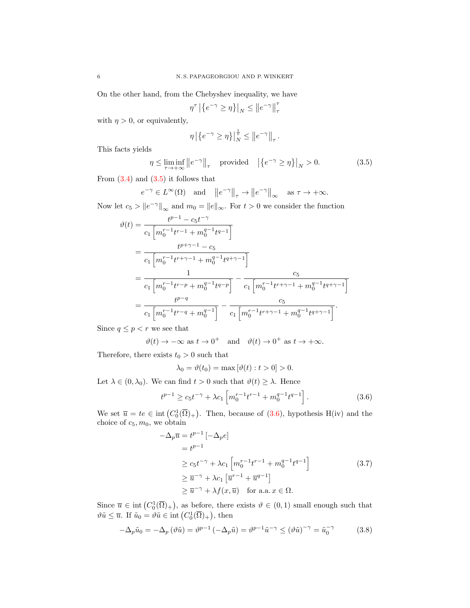On the other hand, from the Chebyshev inequality, we have

$$
\eta^{\tau} \left| \left\{ e^{-\gamma} \ge \eta \right\} \right|_N \le \left\| e^{-\gamma} \right\|_{\tau}^{\tau}
$$

with  $\eta > 0$ , or equivalently,

<span id="page-5-0"></span>
$$
\eta \left| \left\{ e^{-\gamma} \ge \eta \right\} \right|_N^{\frac{1}{\tau}} \le \left\| e^{-\gamma} \right\|_{\tau}.
$$

This facts yields

$$
\eta \le \liminf_{\tau \to +\infty} \left\| e^{-\gamma} \right\|_{\tau} \quad \text{provided} \quad \left| \left\{ e^{-\gamma} \ge \eta \right\} \right|_{N} > 0. \tag{3.5}
$$

From  $(3.4)$  and  $(3.5)$  it follows that

$$
e^{-\gamma} \in L^{\infty}(\Omega)
$$
 and  $||e^{-\gamma}||_{\tau} \to ||e^{-\gamma}||_{\infty}$  as  $\tau \to +\infty$ .

Now let  $c_5 > ||e^{-\gamma}||_{\infty}$  and  $m_0 = ||e||_{\infty}$ . For  $t > 0$  we consider the function

$$
\vartheta(t) = \frac{t^{p-1} - c_5 t^{-\gamma}}{c_1 \left[ m_0^{r-1} t^{r-1} + m_0^{q-1} t^{q-1} \right]}
$$
\n
$$
= \frac{t^{p+\gamma-1} - c_5}{c_1 \left[ m_0^{r-1} t^{r+\gamma-1} + m_0^{q-1} t^{q+\gamma-1} \right]}
$$
\n
$$
= \frac{1}{c_1 \left[ m_0^{r-1} t^{r-p} + m_0^{q-1} t^{q-p} \right]} - \frac{c_5}{c_1 \left[ m_0^{r-1} t^{r+\gamma-1} + m_0^{q-1} t^{q+\gamma-1} \right]}
$$
\n
$$
= \frac{t^{p-q}}{c_1 \left[ m_0^{r-1} t^{r-q} + m_0^{q-1} \right]} - \frac{c_5}{c_1 \left[ m_0^{r-1} t^{r+\gamma-1} + m_0^{q-1} t^{q+\gamma-1} \right]}.
$$

Since  $q\leq p< r$  we see that

$$
\vartheta(t) \to -\infty \text{ as } t \to 0^+ \text{ and } \vartheta(t) \to 0^+ \text{ as } t \to +\infty.
$$

Therefore, there exists  $t_0 > 0$  such that

<span id="page-5-1"></span>
$$
\lambda_0 = \vartheta(t_0) = \max[\vartheta(t) : t > 0] > 0.
$$

Let  $\lambda \in (0, \lambda_0)$ . We can find  $t > 0$  such that  $\vartheta(t) \geq \lambda$ . Hence

$$
t^{p-1} \ge c_5 t^{-\gamma} + \lambda c_1 \left[ m_0^{r-1} t^{r-1} + m_0^{q-1} t^{q-1} \right]. \tag{3.6}
$$

We set  $\overline{u} = te \in \text{int}(C_0^1(\overline{\Omega})_+)$ . Then, because of [\(3.6\)](#page-5-1), hypothesis H(iv) and the choice of  $c_5, m_0$ , we obtain

<span id="page-5-3"></span><span id="page-5-2"></span>
$$
-\Delta_p \overline{u} = t^{p-1} \left[ -\Delta_p e \right]
$$
  
\n
$$
= t^{p-1}
$$
  
\n
$$
\ge c_5 t^{-\gamma} + \lambda c_1 \left[ m_0^{r-1} t^{r-1} + m_0^{q-1} t^{q-1} \right]
$$
  
\n
$$
\ge \overline{u}^{-\gamma} + \lambda c_1 \left[ \overline{u}^{r-1} + \overline{u}^{q-1} \right]
$$
  
\n
$$
\ge \overline{u}^{-\gamma} + \lambda f(x, \overline{u}) \quad \text{for a.a. } x \in \Omega.
$$
 (3.7)

Since  $\overline{u} \in \text{int}(C_0^1(\overline{\Omega})_+)$ , as before, there exists  $\vartheta \in (0,1)$  small enough such that  $\vartheta \tilde{u} \leq \overline{u}$ . If  $\tilde{u}_0 = \vartheta \tilde{u} \in \text{int} (C_0^1(\overline{\Omega})_+)$ , then

$$
-\Delta_p \tilde{u}_0 = -\Delta_p (\vartheta \tilde{u}) = \vartheta^{p-1} (-\Delta_p \tilde{u}) = \vartheta^{p-1} \tilde{u}^{-\gamma} \le (\vartheta \tilde{u})^{-\gamma} = \tilde{u}_0^{-\gamma}
$$
 (3.8)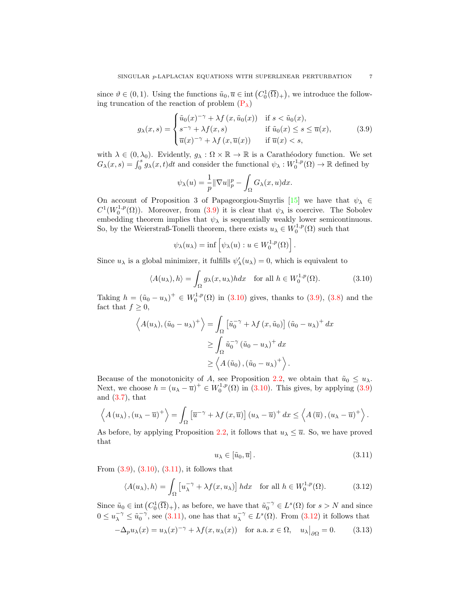since  $\vartheta \in (0,1)$ . Using the functions  $\tilde{u}_0, \overline{u} \in \text{int}\left( C_0^1(\overline{\Omega})_+ \right)$ , we introduce the following truncation of the reaction of problem  $(P_{\lambda})$ 

$$
g_{\lambda}(x,s) = \begin{cases} \tilde{u}_0(x)^{-\gamma} + \lambda f(x, \tilde{u}_0(x)) & \text{if } s < \tilde{u}_0(x), \\ s^{-\gamma} + \lambda f(x,s) & \text{if } \tilde{u}_0(x) \le s \le \overline{u}(x), \\ \overline{u}(x)^{-\gamma} + \lambda f(x, \overline{u}(x)) & \text{if } \overline{u}(x) < s, \end{cases}
$$
(3.9)

with  $\lambda \in (0, \lambda_0)$ . Evidently,  $g_\lambda : \Omega \times \mathbb{R} \to \mathbb{R}$  is a Carathéodory function. We set  $G_{\lambda}(x,s) = \int_0^s g_{\lambda}(x,t)dt$  and consider the functional  $\psi_{\lambda}: W_0^{1,p}(\Omega) \to \mathbb{R}$  defined by

<span id="page-6-0"></span>
$$
\psi_{\lambda}(u) = \frac{1}{p} \|\nabla u\|_{p}^{p} - \int_{\Omega} G_{\lambda}(x, u) dx.
$$

On account of Proposition 3 of Papageorgiou-Smyrlis [\[15\]](#page-20-0) we have that  $\psi_{\lambda} \in$  $C^1(W_0^{1,p}(\Omega))$ . Moreover, from [\(3.9\)](#page-6-0) it is clear that  $\psi_\lambda$  is coercive. The Sobolev embedding theorem implies that  $\psi_{\lambda}$  is sequentially weakly lower semicontinuous. So, by the Weierstraß-Tonelli theorem, there exists  $u_{\lambda} \in W_0^{1,p}(\Omega)$  such that

<span id="page-6-1"></span>
$$
\psi_{\lambda}(u_{\lambda}) = \inf \left[ \psi_{\lambda}(u) : u \in W_0^{1,p}(\Omega) \right].
$$

Since  $u_{\lambda}$  is a global minimizer, it fulfills  $\psi'_{\lambda}(u_{\lambda}) = 0$ , which is equivalent to

$$
\langle A(u_{\lambda}), h \rangle = \int_{\Omega} g_{\lambda}(x, u_{\lambda}) h dx \quad \text{for all } h \in W_0^{1, p}(\Omega). \tag{3.10}
$$

Taking  $h = (\tilde{u}_0 - u_\lambda)^+ \in W_0^{1,p}(\Omega)$  in [\(3.10\)](#page-6-1) gives, thanks to [\(3.9\)](#page-6-0), [\(3.8\)](#page-5-2) and the fact that  $f \geq 0$ ,

$$
\left\langle A(u_{\lambda}), (\tilde{u}_{0} - u_{\lambda})^{+} \right\rangle = \int_{\Omega} \left[ \tilde{u}_{0}^{-\gamma} + \lambda f(x, \tilde{u}_{0}) \right] (\tilde{u}_{0} - u_{\lambda})^{+} dx
$$
  
\n
$$
\geq \int_{\Omega} \tilde{u}_{0}^{-\gamma} (\tilde{u}_{0} - u_{\lambda})^{+} dx
$$
  
\n
$$
\geq \left\langle A(\tilde{u}_{0}), (\tilde{u}_{0} - u_{\lambda})^{+} \right\rangle.
$$

Because of the monotonicity of A, see Proposition [2.2,](#page-2-1) we obtain that  $\tilde{u}_0 \leq u_\lambda$ . Next, we choose  $h = (u_{\lambda} - \overline{u})^+ \in W_0^{1,p}(\Omega)$  in [\(3.10\)](#page-6-1). This gives, by applying [\(3.9\)](#page-6-0) and  $(3.7)$ , that

$$
\left\langle A(u_\lambda), (u_\lambda - \overline{u})^+ \right\rangle = \int_{\Omega} \left[ \overline{u}^{-\gamma} + \lambda f(x, \overline{u}) \right] (u_\lambda - \overline{u})^+ dx \leq \left\langle A(\overline{u}), (u_\lambda - \overline{u})^+ \right\rangle.
$$

As before, by applying Proposition [2.2,](#page-2-1) it follows that  $u_{\lambda} \leq \overline{u}$ . So, we have proved that

<span id="page-6-4"></span><span id="page-6-3"></span><span id="page-6-2"></span>
$$
u_{\lambda} \in [\tilde{u}_0, \overline{u}]. \tag{3.11}
$$

From  $(3.9)$ ,  $(3.10)$ ,  $(3.11)$ , it follows that

$$
\langle A(u_{\lambda}), h \rangle = \int_{\Omega} \left[ u_{\lambda}^{-\gamma} + \lambda f(x, u_{\lambda}) \right] h dx \quad \text{for all } h \in W_0^{1, p}(\Omega). \tag{3.12}
$$

Since  $\tilde{u}_0 \in \text{int}(C_0^1(\overline{\Omega})_+)$ , as before, we have that  $\tilde{u}_0^{-\gamma} \in L^s(\Omega)$  for  $s > N$  and since  $0 \le u_{\lambda}^{-\gamma} \le \tilde{u}_0^{-\gamma}$ , see [\(3.11\)](#page-6-2), one has that  $u_{\lambda}^{-\gamma} \in L^s(\Omega)$ . From [\(3.12\)](#page-6-3) it follows that

$$
-\Delta_p u_\lambda(x) = u_\lambda(x)^{-\gamma} + \lambda f(x, u_\lambda(x)) \quad \text{for a.a. } x \in \Omega, \quad u_\lambda|_{\partial\Omega} = 0. \tag{3.13}
$$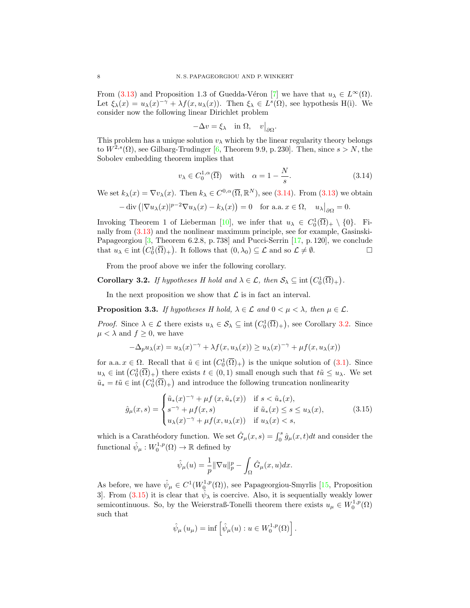From [\(3.13\)](#page-6-4) and Proposition 1.3 of Guedda-Véron [\[7\]](#page-20-9) we have that  $u_{\lambda} \in L^{\infty}(\Omega)$ . Let  $\xi_{\lambda}(x) = u_{\lambda}(x)^{-\gamma} + \lambda f(x, u_{\lambda}(x))$ . Then  $\xi_{\lambda} \in L^{s}(\Omega)$ , see hypothesis H(i). We consider now the following linear Dirichlet problem

<span id="page-7-0"></span>
$$
-\Delta v = \xi_{\lambda} \quad \text{in } \Omega, \quad v\big|_{\partial\Omega}.
$$

This problem has a unique solution  $v_{\lambda}$  which by the linear regularity theory belongs to  $W^{2,s}(\Omega)$ , see Gilbarg-Trudinger [\[6,](#page-20-10) Theorem 9.9, p. 230]. Then, since  $s > N$ , the Sobolev embedding theorem implies that

$$
v_{\lambda} \in C_0^{1,\alpha}(\overline{\Omega}) \quad \text{with} \quad \alpha = 1 - \frac{N}{s}.\tag{3.14}
$$

We set  $k_{\lambda}(x) = \nabla v_{\lambda}(x)$ . Then  $k_{\lambda} \in C^{0,\alpha}(\overline{\Omega}, \mathbb{R}^{N})$ , see [\(3.14\)](#page-7-0). From [\(3.13\)](#page-6-4) we obtain

$$
-\operatorname{div}\left(|\nabla u_\lambda(x)|^{p-2}\nabla u_\lambda(x)-k_\lambda(x)\right)=0 \quad \text{for a.a. } x\in\Omega, \quad u_\lambda\big|_{\partial\Omega}=0.
$$

Invoking Theorem 1 of Lieberman [\[10\]](#page-20-11), we infer that  $u_{\lambda} \in C_0^1(\overline{\Omega})_+ \setminus \{0\}$ . Finally from [\(3.13\)](#page-6-4) and the nonlinear maximum principle, see for example, Gasinski-Papageorgiou [\[3,](#page-20-5) Theorem 6.2.8, p. 738] and Pucci-Serrin [\[17,](#page-20-12) p. 120], we conclude that  $u_{\lambda} \in \text{int}(C_0^1(\overline{\Omega})_+)$ . It follows that  $(0, \lambda_0) \subseteq \mathcal{L}$  and so  $\mathcal{L} \neq \emptyset$ .

From the proof above we infer the following corollary.

<span id="page-7-1"></span>**Corollary 3.2.** If hypotheses H hold and  $\lambda \in \mathcal{L}$ , then  $\mathcal{S}_{\lambda} \subseteq \text{int}(C_0^1(\overline{\Omega})_+)$ .

In the next proposition we show that  $\mathcal L$  is in fact an interval.

<span id="page-7-3"></span>**Proposition 3.3.** If hypotheses H hold,  $\lambda \in \mathcal{L}$  and  $0 \leq \mu \leq \lambda$ , then  $\mu \in \mathcal{L}$ .

*Proof.* Since  $\lambda \in \mathcal{L}$  there exists  $u_{\lambda} \in \mathcal{S}_{\lambda} \subseteq \text{int}(C_0^1(\overline{\Omega})_+)$ , see Corollary [3.2.](#page-7-1) Since  $\mu < \lambda$  and  $f \geq 0$ , we have

$$
-\Delta_p u_\lambda(x) = u_\lambda(x)^{-\gamma} + \lambda f(x, u_\lambda(x)) \ge u_\lambda(x)^{-\gamma} + \mu f(x, u_\lambda(x))
$$

for a.a.  $x \in \Omega$ . Recall that  $\tilde{u} \in \text{int}(C_0^1(\overline{\Omega})_+)$  is the unique solution of  $(3.1)$ . Since  $u_{\lambda} \in \text{int}\left(C_0^1(\overline{\Omega})_+\right)$  there exists  $t \in (0,1)$  small enough such that  $t\tilde{u} \leq u_{\lambda}$ . We set  $\tilde{u}_* = t\tilde{u} \in \text{int}\left(C_0^1(\overline{\Omega})_+\right)$  and introduce the following truncation nonlinearity

$$
\hat{g}_{\mu}(x,s) = \begin{cases} \tilde{u}_{*}(x)^{-\gamma} + \mu f(x, \tilde{u}_{*}(x)) & \text{if } s < \tilde{u}_{*}(x), \\ s^{-\gamma} + \mu f(x,s) & \text{if } \tilde{u}_{*}(x) \le s \le u_{\lambda}(x), \\ u_{\lambda}(x)^{-\gamma} + \mu f(x, u_{\lambda}(x)) & \text{if } u_{\lambda}(x) < s, \end{cases} \tag{3.15}
$$

which is a Carathéodory function. We set  $\hat{G}_{\mu}(x, s) = \int_0^s \hat{g}_{\mu}(x, t)dt$  and consider the functional  $\hat{\psi}_{\mu}: W^{1,p}_0(\Omega) \to \mathbb{R}$  defined by

<span id="page-7-2"></span>
$$
\hat{\psi}_{\mu}(u) = \frac{1}{p} \|\nabla u\|_{p}^{p} - \int_{\Omega} \hat{G}_{\mu}(x, u) dx.
$$

As before, we have  $\hat{\psi}_{\mu} \in C^1(W_0^{1,p}(\Omega))$ , see Papageorgiou-Smyrlis [\[15,](#page-20-0) Proposition 3. From [\(3.15\)](#page-7-2) it is clear that  $\hat{\psi}_{\lambda}$  is coercive. Also, it is sequentially weakly lower semicontinuous. So, by the Weierstraß-Tonelli theorem there exists  $u_{\mu} \in W_0^{1,p}(\Omega)$ such that

$$
\hat{\psi}_{\mu}(u_{\mu}) = \inf \left[ \hat{\psi}_{\mu}(u) : u \in W_0^{1,p}(\Omega) \right].
$$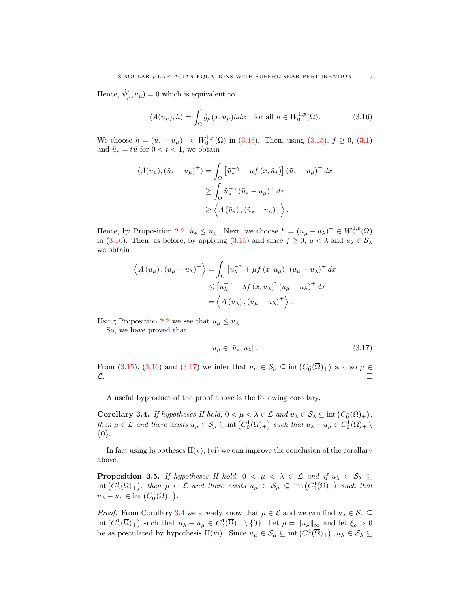Hence,  $\hat{\psi}'_{\mu}(u_{\mu}) = 0$  which is equivalent to

<span id="page-8-0"></span>
$$
\langle A(u_{\mu}), h \rangle = \int_{\Omega} \hat{g}_{\mu}(x, u_{\mu}) h dx \quad \text{for all } h \in W_0^{1, p}(\Omega). \tag{3.16}
$$

We choose  $h = (\tilde{u}_* - u_\mu)^+ \in W_0^{1,p}(\Omega)$  in [\(3.16\)](#page-8-0). Then, using [\(3.15\)](#page-7-2),  $f \ge 0$ , [\(3.1\)](#page-4-0) and  $\tilde{u}_* = t\tilde{u}$  for  $0 < t < 1$ , we obtain

$$
\langle A(u_{\mu}), (\tilde{u}_{*} - u_{\mu})^{+} \rangle = \int_{\Omega} \left[ \tilde{u}_{*}^{-\gamma} + \mu f(x, \tilde{u}_{*}) \right] (\tilde{u}_{*} - u_{\mu})^{+} dx
$$
  
\n
$$
\geq \int_{\Omega} \tilde{u}_{*}^{-\gamma} (\tilde{u}_{*} - u_{\mu})^{+} dx
$$
  
\n
$$
\geq \langle A(\tilde{u}_{*}), (\tilde{u}_{*} - u_{\mu})^{+} \rangle.
$$

Hence, by Proposition [2.2,](#page-2-1)  $\tilde{u}_* \leq u_\mu$ . Next, we choose  $h = (u_\mu - u_\lambda)^+ \in W_0^{1,p}(\Omega)$ in [\(3.16\)](#page-8-0). Then, as before, by applying [\(3.15\)](#page-7-2) and since  $f \ge 0$ ,  $\mu < \lambda$  and  $u_{\lambda} \in S_{\lambda}$ we obtain

$$
\left\langle A(u_{\mu}), (u_{\mu} - u_{\lambda})^{+} \right\rangle = \int_{\Omega} \left[ u_{\lambda}^{-\gamma} + \mu f(x, u_{\mu}) \right] (u_{\mu} - u_{\lambda})^{+} dx
$$
  

$$
\leq \left[ u_{\lambda}^{-\gamma} + \lambda f(x, u_{\lambda}) \right] (u_{\mu} - u_{\lambda})^{+} dx
$$
  

$$
= \left\langle A(u_{\lambda}), (u_{\mu} - u_{\lambda})^{+} \right\rangle.
$$

Using Proposition [2.2](#page-2-1) we see that  $u_{\mu} \leq u_{\lambda}$ .

So, we have proved that

<span id="page-8-1"></span>
$$
u_{\mu} \in \left[\tilde{u}_*, u_{\lambda}\right].\tag{3.17}
$$

From [\(3.15\)](#page-7-2), [\(3.16\)](#page-8-0) and [\(3.17\)](#page-8-1) we infer that  $u_{\mu} \in \mathcal{S}_{\mu} \subseteq \text{int}\left(C_0^1(\overline{\Omega})_+\right)$  and so  $\mu \in$  $\mathcal{L}$ .

A useful byproduct of the proof above is the following corollary.

<span id="page-8-2"></span>**Corollary 3.4.** If hypotheses H hold,  $0 < \mu < \lambda \in \mathcal{L}$  and  $u_{\lambda} \in \mathcal{S}_{\lambda} \subseteq \text{int}(C_0^1(\overline{\Omega})_+)$ , then  $\mu \in \mathcal{L}$  and there exists  $u_{\mu} \in \mathcal{S}_{\mu} \subseteq \text{int}\left(C_0^1(\overline{\Omega})_+\right)$  such that  $u_{\lambda} - u_{\mu} \in C_0^1(\overline{\Omega})_+ \setminus$ {0}.

In fact using hypotheses  $H(v)$ , (vi) we can improve the conclusion of the corollary above.

<span id="page-8-3"></span>**Proposition 3.5.** If hypotheses H hold,  $0 < \mu < \lambda \in \mathcal{L}$  and if  $u_{\lambda} \in \mathcal{S}_{\lambda} \subseteq$  $\mathrm{int}\left(C_0^1(\overline{\Omega})_+\right)$ , then  $\mu \in \mathcal{L}$  and there exists  $u_{\mu} \in \mathcal{S}_{\mu} \subseteq \mathrm{int}\left(C_0^1(\overline{\Omega})_+\right)$  such that  $u_{\lambda} - u_{\mu} \in \text{int}\left( C_0^1(\overline{\Omega})_+\right).$ 

*Proof.* From Corollary [3.4](#page-8-2) we already know that  $\mu \in \mathcal{L}$  and we can find  $u_{\lambda} \in \mathcal{S}_{\mu} \subseteq$  $\text{int}\left(C_0^1(\overline{\Omega})_+\right)$  such that  $u_\lambda - u_\mu \in C_0^1(\overline{\Omega})_+ \setminus \{0\}$ . Let  $\rho = ||u_\lambda||_\infty$  and let  $\hat{\xi}_\rho > 0$ be as postulated by hypothesis H(vi). Since  $u_{\mu} \in \mathcal{S}_{\mu} \subseteq \text{int}(C_0^1(\overline{\Omega})_+)$ ,  $u_{\lambda} \in \mathcal{S}_{\lambda} \subseteq$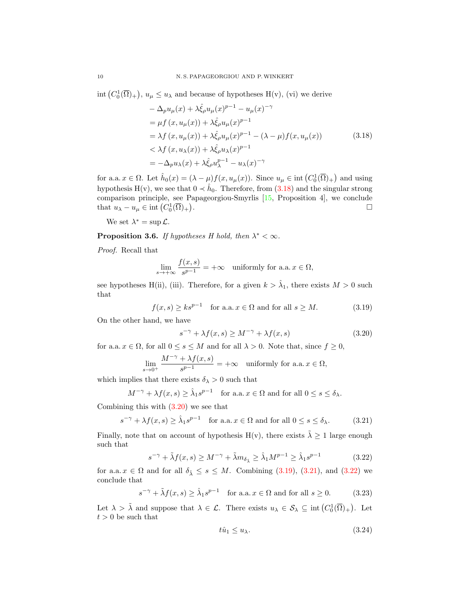$\text{int}\left(C_0^1(\overline{\Omega})_+\right), u_\mu \leq u_\lambda$  and because of hypotheses  $H(v)$ , (vi) we derive

<span id="page-9-0"></span>
$$
-\Delta_p u_\mu(x) + \lambda \hat{\xi}_\rho u_\mu(x)^{p-1} - u_\mu(x)^{-\gamma}
$$
  
\n
$$
= \mu f(x, u_\mu(x)) + \lambda \hat{\xi}_\rho u_\mu(x)^{p-1}
$$
  
\n
$$
= \lambda f(x, u_\mu(x)) + \lambda \hat{\xi}_\rho u_\mu(x)^{p-1} - (\lambda - \mu) f(x, u_\mu(x))
$$
  
\n
$$
< \lambda f(x, u_\lambda(x)) + \lambda \hat{\xi}_\rho u_\lambda(x)^{p-1}
$$
  
\n
$$
= -\Delta_p u_\lambda(x) + \lambda \hat{\xi}_\rho u_\lambda^{p-1} - u_\lambda(x)^{-\gamma}
$$
\n(3.18)

for a.a.  $x \in \Omega$ . Let  $\hat{h}_0(x) = (\lambda - \mu)f(x, u_\mu(x))$ . Since  $u_\mu \in \text{int}(C_0^1(\overline{\Omega})_+)$  and using hypothesis H(v), we see that  $0 \prec \hat{h}_0$ . Therefore, from  $(3.18)$  and the singular strong comparison principle, see Papageorgiou-Smyrlis [\[15,](#page-20-0) Proposition 4], we conclude that  $u_{\lambda} - u_{\mu} \in \text{int}\left( C_0^1(\overline{\Omega})_+ \right)$ . В последните поставите на селото на селото на селото на селото на селото на селото на селото на селото на се<br>Селото на селото на селото на селото на селото на селото на селото на селото на селото на селото на селото на

We set  $\lambda^* = \sup \mathcal{L}$ .

**Proposition 3.6.** If hypotheses H hold, then  $\lambda^* < \infty$ .

Proof. Recall that

$$
\lim_{s \to +\infty} \frac{f(x,s)}{s^{p-1}} = +\infty \quad \text{uniformly for a.a. } x \in \Omega,
$$

see hypotheses H(ii), (iii). Therefore, for a given  $k > \hat{\lambda}_1$ , there exists  $M > 0$  such that

$$
f(x,s) \ge ks^{p-1} \quad \text{for a.a. } x \in \Omega \text{ and for all } s \ge M. \tag{3.19}
$$

On the other hand, we have

<span id="page-9-2"></span><span id="page-9-1"></span>
$$
s^{-\gamma} + \lambda f(x, s) \ge M^{-\gamma} + \lambda f(x, s)
$$
\n(3.20)

for a.a.  $x \in \Omega$ , for all  $0 \le s \le M$  and for all  $\lambda > 0$ . Note that, since  $f \ge 0$ ,

$$
\lim_{s \to 0^+} \frac{M^{-\gamma} + \lambda f(x, s)}{s^{p-1}} = +\infty \quad \text{uniformly for a.a. } x \in \Omega,
$$

which implies that there exists  $\delta_{\lambda} > 0$  such that

$$
M^{-\gamma} + \lambda f(x, s) \ge \hat{\lambda}_1 s^{p-1} \quad \text{for a.a. } x \in \Omega \text{ and for all } 0 \le s \le \delta_\lambda.
$$

Combining this with  $(3.20)$  we see that

$$
s^{-\gamma} + \lambda f(x, s) \ge \hat{\lambda}_1 s^{p-1} \quad \text{for a.a.} \ x \in \Omega \text{ and for all } 0 \le s \le \delta_\lambda. \tag{3.21}
$$

Finally, note that on account of hypothesis H(v), there exists  $\tilde{\lambda} \geq 1$  large enough such that

$$
s^{-\gamma} + \tilde{\lambda}f(x,s) \ge M^{-\gamma} + \tilde{\lambda}m_{\delta_{\tilde{\lambda}}} \ge \hat{\lambda}_1 M^{p-1} \ge \hat{\lambda}_1 s^{p-1}
$$
 (3.22)

for a.a.  $x \in \Omega$  and for all  $\delta_{\tilde{\lambda}} \leq s \leq M$ . Combining [\(3.19\)](#page-9-2), [\(3.21\)](#page-9-3), and [\(3.22\)](#page-9-4) we conclude that

$$
s^{-\gamma} + \tilde{\lambda}f(x,s) \ge \hat{\lambda}_1 s^{p-1} \quad \text{for a.a. } x \in \Omega \text{ and for all } s \ge 0. \tag{3.23}
$$

Let  $\lambda > \tilde{\lambda}$  and suppose that  $\lambda \in \mathcal{L}$ . There exists  $u_{\lambda} \in \mathcal{S}_{\lambda} \subseteq \text{int}(C_0^1(\overline{\Omega})_+)$ . Let  $t > 0$  be such that

<span id="page-9-6"></span><span id="page-9-5"></span><span id="page-9-4"></span><span id="page-9-3"></span>
$$
t\hat{u}_1 \le u_\lambda. \tag{3.24}
$$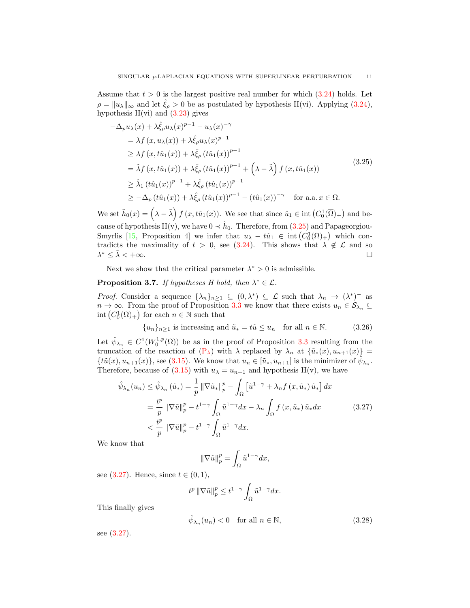Assume that  $t > 0$  is the largest positive real number for which  $(3.24)$  holds. Let  $\rho = ||u_\lambda||_\infty$  and let  $\hat{\xi}_\rho > 0$  be as postulated by hypothesis H(vi). Applying [\(3.24\)](#page-9-5), hypothesis  $H(vi)$  and  $(3.23)$  gives

<span id="page-10-0"></span>
$$
-\Delta_p u_\lambda(x) + \lambda \hat{\xi}_\rho u_\lambda(x)^{p-1} - u_\lambda(x)^{-\gamma}
$$
  
\n
$$
= \lambda f(x, u_\lambda(x)) + \lambda \hat{\xi}_\rho u_\lambda(x)^{p-1}
$$
  
\n
$$
\geq \lambda f(x, t\hat{u}_1(x)) + \lambda \hat{\xi}_\rho (t\hat{u}_1(x))^{p-1}
$$
  
\n
$$
= \tilde{\lambda} f(x, t\hat{u}_1(x)) + \lambda \hat{\xi}_\rho (t\hat{u}_1(x))^{p-1} + (\lambda - \tilde{\lambda}) f(x, t\hat{u}_1(x))
$$
  
\n
$$
\geq \hat{\lambda}_1 (t\hat{u}_1(x))^{p-1} + \lambda \hat{\xi}_\rho (t\hat{u}_1(x))^{p-1}
$$
  
\n
$$
\geq -\Delta_p (t\hat{u}_1(x)) + \lambda \hat{\xi}_\rho (t\hat{u}_1(x))^{p-1} - (t\hat{u}_1(x))^{-\gamma} \quad \text{for a.a. } x \in \Omega.
$$
 (3.25)

We set  $\tilde{h}_0(x) = (\lambda - \tilde{\lambda}) f(x, t\hat{u}_1(x))$ . We see that since  $\hat{u}_1 \in \text{int}(C_0^1(\overline{\Omega})_+)$  and because of hypothesis  $H(v)$ , we have  $0 \prec \tilde{h}_0$ . Therefore, from  $(3.25)$  and Papageorgiou-Smyrlis [\[15,](#page-20-0) Proposition 4] we infer that  $u_{\lambda} - t\hat{u}_1 \in \text{int}(C_0^1(\overline{\Omega})_+)$  which contradicts the maximality of  $t > 0$ , see [\(3.24\)](#page-9-5). This shows that  $\lambda \notin \mathcal{L}$  and so  $\lambda^* \leq \tilde{\lambda} < +\infty$ .

Next we show that the critical parameter  $\lambda^* > 0$  is admissible.

# <span id="page-10-4"></span>**Proposition 3.7.** If hypotheses H hold, then  $\lambda^* \in \mathcal{L}$ .

*Proof.* Consider a sequence  $\{\lambda_n\}_{n\geq 1} \subseteq (0,\lambda^*) \subseteq \mathcal{L}$  such that  $\lambda_n \to (\lambda^*)^-$  as  $n \to \infty$ . From the proof of Proposition [3.3](#page-7-3) we know that there exists  $u_n \in \mathcal{S}_{\lambda_n} \subseteq$ int  $(C_0^1(\overline{\Omega})_+)$  for each  $n \in \mathbb{N}$  such that

$$
\{u_n\}_{n\geq 1} \text{ is increasing and } \tilde{u}_* = t\tilde{u} \leq u_n \quad \text{for all } n \in \mathbb{N}. \tag{3.26}
$$

Let  $\hat{\psi}_{\lambda_n} \in C^1(W_0^{1,p}(\Omega))$  be as in the proof of Proposition [3.3](#page-7-3) resulting from the truncation of the reaction of  $(P_\lambda)$  with  $\lambda$  replaced by  $\lambda_n$  at  $\{\tilde{u}_*(x), u_{n+1}(x)\}$  $\{t\tilde{u}(x), u_{n+1}(x)\}\)$ , see [\(3.15\)](#page-7-2). We know that  $u_n \in [\tilde{u}_*, u_{n+1}]$  is the minimizer of  $\hat{\psi}_{\lambda_n}$ . Therefore, because of [\(3.15\)](#page-7-2) with  $u_{\lambda} = u_{n+1}$  and hypothesis H(v), we have

$$
\hat{\psi}_{\lambda_n}(u_n) \leq \hat{\psi}_{\lambda_n}(\tilde{u}_*) = \frac{1}{p} \|\nabla \tilde{u}_*\|_p^p - \int_{\Omega} \left[\tilde{u}^{1-\gamma} + \lambda_n f(x, \tilde{u}_*) \tilde{u}_*\right] dx
$$
\n
$$
= \frac{t^p}{p} \|\nabla \tilde{u}\|_p^p - t^{1-\gamma} \int_{\Omega} \tilde{u}^{1-\gamma} dx - \lambda_n \int_{\Omega} f(x, \tilde{u}_*) \tilde{u}_* dx \tag{3.27}
$$
\n
$$
< \frac{t^p}{p} \|\nabla \tilde{u}\|_p^p - t^{1-\gamma} \int_{\Omega} \tilde{u}^{1-\gamma} dx.
$$

We know that

<span id="page-10-3"></span><span id="page-10-2"></span><span id="page-10-1"></span>
$$
\|\nabla \tilde{u}\|_p^p = \int_{\Omega} \tilde{u}^{1-\gamma} dx,
$$

see [\(3.27\)](#page-10-1). Hence, since  $t \in (0, 1)$ ,

$$
t^p \|\nabla \tilde{u}\|_p^p \le t^{1-\gamma} \int_{\Omega} \tilde{u}^{1-\gamma} dx.
$$

This finally gives

$$
\hat{\psi}_{\lambda_n}(u_n) < 0 \quad \text{for all } n \in \mathbb{N},\tag{3.28}
$$

see [\(3.27\)](#page-10-1).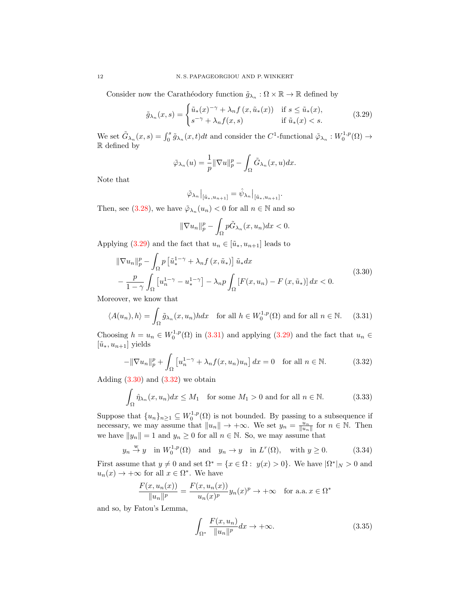Consider now the Carathéodory function  $\tilde{g}_{\lambda_n} : \Omega \times \mathbb{R} \to \mathbb{R}$  defined by

$$
\tilde{g}_{\lambda_n}(x,s) = \begin{cases} \tilde{u}_*(x)^{-\gamma} + \lambda_n f(x, \tilde{u}_*(x)) & \text{if } s \le \tilde{u}_*(x), \\ s^{-\gamma} + \lambda_n f(x,s) & \text{if } \tilde{u}_*(x) < s. \end{cases}
$$
(3.29)

We set  $\tilde{G}_{\lambda_n}(x,s) = \int_0^s \tilde{g}_{\lambda_n}(x,t)dt$  and consider the  $C^1$ -functional  $\tilde{\varphi}_{\lambda_n}: W_0^{1,p}(\Omega) \to$ R defined by

<span id="page-11-0"></span>
$$
\tilde{\varphi}_{\lambda_n}(u) = \frac{1}{p} \|\nabla u\|_p^p - \int_{\Omega} \tilde{G}_{\lambda_n}(x, u) dx.
$$

Note that

$$
\tilde{\varphi}_{\lambda_n}\big|_{[\tilde{u}_*,u_{n+1}]}=\hat{\psi}_{\lambda_n}\big|_{[\tilde{u}_*,u_{n+1}]}.
$$

Then, see [\(3.28\)](#page-10-2), we have  $\tilde{\varphi}_{\lambda_n}(u_n) < 0$  for all  $n \in \mathbb{N}$  and so

<span id="page-11-3"></span><span id="page-11-2"></span><span id="page-11-1"></span>
$$
\|\nabla u_n\|_p^p - \int_{\Omega} p\tilde{G}_{\lambda_n}(x, u_n)dx < 0.
$$

Applying [\(3.29\)](#page-11-0) and the fact that  $u_n \in [\tilde{u}_*, u_{n+1}]$  leads to

$$
\|\nabla u_n\|_p^p - \int_{\Omega} p\left[\tilde{u}_*^{1-\gamma} + \lambda_n f\left(x, \tilde{u}_*\right)\right] \tilde{u}_* dx
$$
  
 
$$
-\frac{p}{1-\gamma} \int_{\Omega} \left[u_n^{1-\gamma} - u_*^{1-\gamma}\right] - \lambda_n p \int_{\Omega} \left[F(x, u_n) - F\left(x, \tilde{u}_*\right)\right] dx < 0.
$$
 (3.30)

Moreover, we know that

$$
\langle A(u_n), h \rangle = \int_{\Omega} \tilde{g}_{\lambda_n}(x, u_n) h dx \quad \text{for all } h \in W_0^{1,p}(\Omega) \text{ and for all } n \in \mathbb{N}.
$$
 (3.31)

Choosing  $h = u_n \in W_0^{1,p}(\Omega)$  in [\(3.31\)](#page-11-1) and applying [\(3.29\)](#page-11-0) and the fact that  $u_n \in$  $[\tilde{u}_*, u_{n+1}]$  yields

$$
-\|\nabla u_n\|_p^p + \int_{\Omega} \left[ u_n^{1-\gamma} + \lambda_n f(x, u_n) u_n \right] dx = 0 \quad \text{for all } n \in \mathbb{N}.
$$
 (3.32)

Adding  $(3.30)$  and  $(3.32)$  we obtain

$$
\int_{\Omega} \hat{\eta}_{\lambda_n}(x, u_n) dx \le M_1 \quad \text{for some } M_1 > 0 \text{ and for all } n \in \mathbb{N}.
$$
 (3.33)

Suppose that  $\{u_n\}_{n\geq 1} \subseteq W_0^{1,p}(\Omega)$  is not bounded. By passing to a subsequence if necessary, we may assume that  $||u_n|| \to +\infty$ . We set  $y_n = \frac{u_n}{||u_n||}$  for  $n \in \mathbb{N}$ . Then we have  $||y_n|| = 1$  and  $y_n \geq 0$  for all  $n \in \mathbb{N}$ . So, we may assume that

$$
y_n \stackrel{w}{\rightarrow} y
$$
 in  $W_0^{1,p}(\Omega)$  and  $y_n \rightarrow y$  in  $L^r(\Omega)$ , with  $y \ge 0$ . (3.34)

First assume that  $y \neq 0$  and set  $\Omega^* = \{x \in \Omega : y(x) > 0\}$ . We have  $|\Omega^*|_N > 0$  and  $u_n(x) \to +\infty$  for all  $x \in \Omega^*$ . We have

$$
\frac{F(x, u_n(x))}{\|u_n\|^p} = \frac{F(x, u_n(x))}{u_n(x)^p} y_n(x)^p \to +\infty \quad \text{for a.a. } x \in \Omega^*
$$

and so, by Fatou's Lemma,

<span id="page-11-6"></span><span id="page-11-5"></span><span id="page-11-4"></span>
$$
\int_{\Omega^*} \frac{F(x, u_n)}{\|u_n\|^p} dx \to +\infty.
$$
\n(3.35)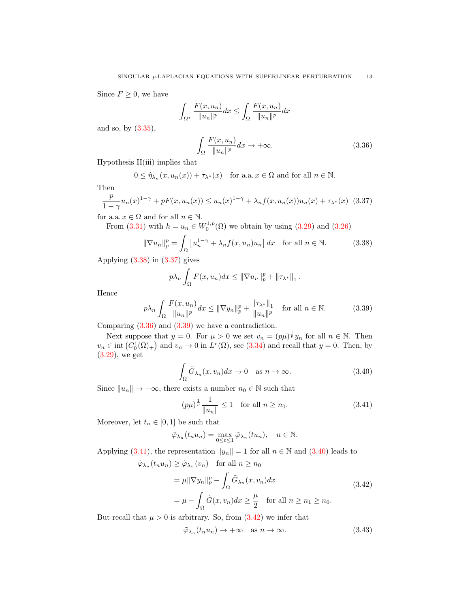Since  $F \geq 0$ , we have

$$
\int_{\Omega^*} \frac{F(x, u_n)}{\|u_n\|^p} dx \le \int_{\Omega} \frac{F(x, u_n)}{\|u_n\|^p} dx
$$

and so, by [\(3.35\)](#page-11-4),

<span id="page-12-2"></span><span id="page-12-1"></span><span id="page-12-0"></span>
$$
\int_{\Omega} \frac{F(x, u_n)}{\|u_n\|^p} dx \to +\infty.
$$
\n(3.36)

Hypothesis H(iii) implies that

$$
0 \leq \hat{\eta}_{\lambda_n}(x, u_n(x)) + \tau_{\lambda^*}(x) \quad \text{for a.a. } x \in \Omega \text{ and for all } n \in \mathbb{N}.
$$

Then

$$
\frac{p}{1-\gamma}u_n(x)^{1-\gamma} + pF(x, u_n(x)) \le u_n(x)^{1-\gamma} + \lambda_n f(x, u_n(x))u_n(x) + \tau_{\lambda^*}(x)
$$
 (3.37)

for a.a.  $x \in \Omega$  and for all  $n \in \mathbb{N}$ .

From [\(3.31\)](#page-11-1) with  $h = u_n \in W_0^{1,p}(\Omega)$  we obtain by using [\(3.29\)](#page-11-0) and [\(3.26\)](#page-10-3)

$$
\|\nabla u_n\|_p^p = \int_{\Omega} \left[ u_n^{1-\gamma} + \lambda_n f(x, u_n) u_n \right] dx \quad \text{for all } n \in \mathbb{N}.
$$
 (3.38)

Applying  $(3.38)$  in  $(3.37)$  gives

$$
p\lambda_n\int_{\Omega}F(x,u_n)dx\leq \|\nabla u_n\|_p^p+\|\tau_{\lambda^*}\|_1.
$$

Hence

$$
p\lambda_n \int_{\Omega} \frac{F(x, u_n)}{\|u_n\|^p} dx \le \|\nabla y_n\|_p^p + \frac{\|\tau_{\lambda^*}\|_1}{\|u_n\|^p} \quad \text{for all } n \in \mathbb{N}.
$$
 (3.39)

Comparing [\(3.36\)](#page-12-2) and [\(3.39\)](#page-12-3) we have a contradiction.

Next suppose that  $y = 0$ . For  $\mu > 0$  we set  $v_n = (p\mu)^{\frac{1}{p}} y_n$  for all  $n \in \mathbb{N}$ . Then  $v_n \in \text{int}(C_0^1(\overline{\Omega})_+)$  and  $v_n \to 0$  in  $L^r(\Omega)$ , see [\(3.34\)](#page-11-5) and recall that  $y = 0$ . Then, by [\(3.29\)](#page-11-0), we get

<span id="page-12-3"></span>
$$
\int_{\Omega} \tilde{G}_{\lambda_n}(x, v_n) dx \to 0 \quad \text{as } n \to \infty. \tag{3.40}
$$

Since  $||u_n|| \to +\infty$ , there exists a number  $n_0 \in \mathbb{N}$  such that

<span id="page-12-5"></span><span id="page-12-4"></span>
$$
(p\mu)^{\frac{1}{p}} \frac{1}{\|u_n\|} \le 1 \quad \text{for all } n \ge n_0. \tag{3.41}
$$

Moreover, let  $t_n \in [0,1]$  be such that

$$
\tilde{\varphi}_{\lambda_n}(t_n u_n) = \max_{0 \le t \le 1} \tilde{\varphi}_{\lambda_n}(t u_n), \quad n \in \mathbb{N}.
$$

Applying [\(3.41\)](#page-12-4), the representation  $||y_n|| = 1$  for all  $n \in \mathbb{N}$  and [\(3.40\)](#page-12-5) leads to

$$
\tilde{\varphi}_{\lambda_n}(t_n u_n) \ge \tilde{\varphi}_{\lambda_n}(v_n) \quad \text{for all } n \ge n_0
$$

$$
= \mu \|\nabla y_n\|_p^p - \int_{\Omega} \tilde{G}_{\lambda_n}(x, v_n) dx
$$

$$
= \mu - \int_{\Omega} \tilde{G}(x, v_n) dx \ge \frac{\mu}{2} \quad \text{for all } n \ge n_1 \ge n_0.
$$
\n(3.42)

But recall that  $\mu > 0$  is arbitrary. So, from  $(3.42)$  we infer that

<span id="page-12-7"></span><span id="page-12-6"></span>
$$
\tilde{\varphi}_{\lambda_n}(t_n u_n) \to +\infty \quad \text{as } n \to \infty. \tag{3.43}
$$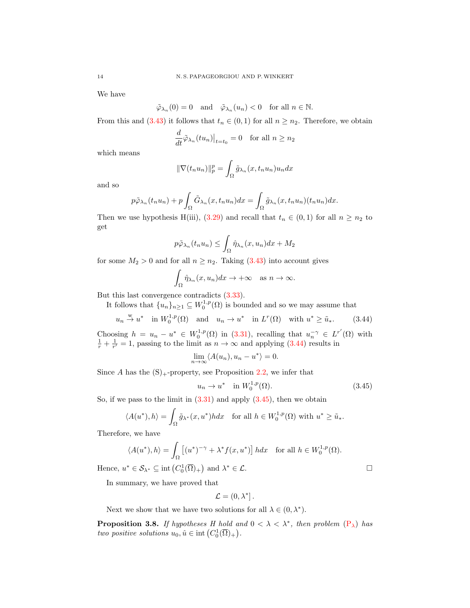We have

$$
\tilde{\varphi}_{\lambda_n}(0) = 0
$$
 and  $\tilde{\varphi}_{\lambda_n}(u_n) < 0$  for all  $n \in \mathbb{N}$ .

From this and [\(3.43\)](#page-12-7) it follows that  $t_n \in (0,1)$  for all  $n \geq n_2$ . Therefore, we obtain

$$
\frac{d}{dt}\tilde{\varphi}_{\lambda_n}(tu_n)|_{t=t_0} = 0 \quad \text{for all } n \ge n_2
$$

which means

$$
\|\nabla(t_n u_n)\|_p^p = \int_{\Omega} \tilde{g}_{\lambda_n}(x, t_n u_n) u_n dx
$$

and so

$$
p\tilde{\varphi}_{\lambda_n}(t_nu_n)+p\int_{\Omega}\tilde{G}_{\lambda_n}(x,t_nu_n)dx=\int_{\Omega}\tilde{g}_{\lambda_n}(x,t_nu_n)(t_nu_n)dx.
$$

Then we use hypothesis H(iii), [\(3.29\)](#page-11-0) and recall that  $t_n \in (0,1)$  for all  $n \geq n_2$  to get

$$
p\tilde{\varphi}_{\lambda_n}(t_n u_n) \le \int_{\Omega} \hat{\eta}_{\lambda_n}(x, u_n) dx + M_2
$$

for some  $M_2 > 0$  and for all  $n \geq n_2$ . Taking [\(3.43\)](#page-12-7) into account gives

$$
\int_{\Omega} \hat{\eta}_{\lambda_n}(x, u_n) dx \to +\infty \quad \text{as } n \to \infty.
$$

But this last convergence contradicts [\(3.33\)](#page-11-6).

It follows that  $\{u_n\}_{n\geq 1} \subseteq W_0^{1,p}(\Omega)$  is bounded and so we may assume that

$$
u_n \stackrel{w}{\to} u^*
$$
 in  $W_0^{1,p}(\Omega)$  and  $u_n \to u^*$  in  $L^r(\Omega)$  with  $u^* \ge \tilde{u}_*$ . (3.44)

Choosing  $h = u_n - u^* \in W_0^{1,p}(\Omega)$  in [\(3.31\)](#page-11-1), recalling that  $u_n^{-\gamma} \in L^{r'}(\Omega)$  with  $\frac{1}{r} + \frac{1}{r'} = 1$ , passing to the limit as  $n \to \infty$  and applying [\(3.44\)](#page-13-0) results in

<span id="page-13-0"></span>
$$
\lim_{n \to \infty} \langle A(u_n), u_n - u^* \rangle = 0.
$$

Since A has the  $(S)_+$ -property, see Proposition [2.2,](#page-2-1) we infer that

<span id="page-13-1"></span>
$$
u_n \to u^* \quad \text{in } W_0^{1,p}(\Omega). \tag{3.45}
$$

So, if we pass to the limit in  $(3.31)$  and apply  $(3.45)$ , then we obtain

$$
\langle A(u^*), h \rangle = \int_{\Omega} \tilde{g}_{\lambda^*}(x, u^*) h dx \quad \text{for all } h \in W_0^{1,p}(\Omega) \text{ with } u^* \ge \tilde{u}_*.
$$

Therefore, we have

$$
\langle A(u^*), h \rangle = \int_{\Omega} \left[ (u^*)^{-\gamma} + \lambda^* f(x, u^*) \right] h dx \quad \text{for all } h \in W_0^{1, p}(\Omega).
$$
  
Hence,  $u^* \in \mathcal{S}_{\lambda^*} \subseteq \text{int}(C_0^1(\overline{\Omega})_+)$  and  $\lambda^* \in \mathcal{L}$ .

In summary, we have proved that

$$
\mathcal{L}=(0,\lambda^*].
$$

Next we show that we have two solutions for all  $\lambda \in (0, \lambda^*)$ .

**Proposition 3.8.** If hypotheses H hold and  $0 < \lambda < \lambda^*$ , then problem  $(P_{\lambda})$  $(P_{\lambda})$  has two positive solutions  $u_0, \hat{u} \in \text{int}\left(C_0^1(\overline{\Omega})_+\right)$ .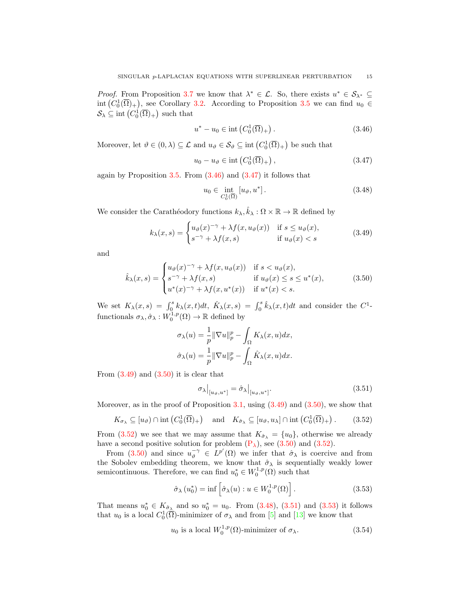*Proof.* From Proposition [3.7](#page-10-4) we know that  $\lambda^* \in \mathcal{L}$ . So, there exists  $u^* \in \mathcal{S}_{\lambda^*} \subseteq$ int  $(C_0^1(\overline{\Omega})_+)$ , see Corollary [3.2.](#page-7-1) According to Proposition [3.5](#page-8-3) we can find  $u_0 \in$  $\mathcal{S}_{\lambda} \subseteq \text{int}\left(C_0^1(\overline{\Omega})_+\right)$  such that

<span id="page-14-0"></span>
$$
u^* - u_0 \in \text{int}\left(C_0^1(\overline{\Omega})_+\right). \tag{3.46}
$$

Moreover, let  $\vartheta \in (0, \lambda) \subseteq \mathcal{L}$  and  $u_{\vartheta} \in \mathcal{S}_{\vartheta} \subseteq \text{int}(C_0^1(\overline{\Omega})_+)$  be such that

$$
u_0 - u_\vartheta \in \text{int}\left(C_0^1(\overline{\Omega})_+\right),\tag{3.47}
$$

again by Proposition  $3.5$ . From  $(3.46)$  and  $(3.47)$  it follows that

<span id="page-14-5"></span><span id="page-14-3"></span><span id="page-14-2"></span><span id="page-14-1"></span>
$$
u_0 \in \text{int}_{C_0^1(\overline{\Omega})} [u_{\vartheta}, u^*]. \tag{3.48}
$$

We consider the Carathéodory functions  $k_{\lambda}, \hat{k}_{\lambda} : \Omega \times \mathbb{R} \to \mathbb{R}$  defined by

$$
k_{\lambda}(x,s) = \begin{cases} u_{\vartheta}(x)^{-\gamma} + \lambda f(x, u_{\vartheta}(x)) & \text{if } s \le u_{\vartheta}(x), \\ s^{-\gamma} + \lambda f(x,s) & \text{if } u_{\vartheta}(x) < s \end{cases}
$$
(3.49)

and

$$
\hat{k}_{\lambda}(x,s) = \begin{cases}\nu_{\vartheta}(x)^{-\gamma} + \lambda f(x, u_{\vartheta}(x)) & \text{if } s < u_{\vartheta}(x), \\
s^{-\gamma} + \lambda f(x,s) & \text{if } u_{\vartheta}(x) \le s \le u^*(x), \\
u^*(x)^{-\gamma} + \lambda f(x, u^*(x)) & \text{if } u^*(x) < s.\n\end{cases}
$$
\n(3.50)

We set  $K_{\lambda}(x, s) = \int_0^s k_{\lambda}(x, t)dt$ ,  $\hat{K}_{\lambda}(x, s) = \int_0^s \hat{k}_{\lambda}(x, t)dt$  and consider the  $C^1$ functionals  $\sigma_{\lambda}, \hat{\sigma}_{\lambda}: W_0^{1,p}(\Omega) \to \mathbb{R}$  defined by

$$
\sigma_{\lambda}(u) = \frac{1}{p} \|\nabla u\|_{p}^{p} - \int_{\Omega} K_{\lambda}(x, u) dx,
$$

$$
\hat{\sigma}_{\lambda}(u) = \frac{1}{p} \|\nabla u\|_{p}^{p} - \int_{\Omega} \hat{K}_{\lambda}(x, u) dx.
$$

From  $(3.49)$  and  $(3.50)$  it is clear that

<span id="page-14-6"></span><span id="page-14-4"></span>
$$
\sigma_{\lambda}|_{[u_{\vartheta},u^*]} = \hat{\sigma}_{\lambda}|_{[u_{\vartheta},u^*]}.
$$
\n(3.51)

Moreover, as in the proof of Proposition  $3.1$ , using  $(3.49)$  and  $(3.50)$ , we show that

$$
K_{\sigma_{\lambda}} \subseteq [u_{\vartheta}) \cap \text{int}\left(C_0^1(\overline{\Omega})_+\right) \text{ and } K_{\hat{\sigma}_{\lambda}} \subseteq [u_{\vartheta}, u_{\lambda}] \cap \text{int}\left(C_0^1(\overline{\Omega})_+\right).
$$
 (3.52)

From [\(3.52\)](#page-14-4) we see that we may assume that  $K_{\hat{\sigma}_{\lambda}} = \{u_0\}$ , otherwise we already have a second positive solution for problem  $(P_{\lambda})$ , see  $(3.50)$  and  $(3.52)$ .

From [\(3.50\)](#page-14-3) and since  $u_{\vartheta}^{-\gamma} \in L^{p'}(\Omega)$  we infer that  $\hat{\sigma}_{\lambda}$  is coercive and from the Sobolev embedding theorem, we know that  $\hat{\sigma}_{\lambda}$  is sequentially weakly lower semicontinuous. Therefore, we can find  $u_0^* \in W_0^{1,p}(\Omega)$  such that

<span id="page-14-8"></span><span id="page-14-7"></span>
$$
\hat{\sigma}_{\lambda}(u_0^*) = \inf \left[ \hat{\sigma}_{\lambda}(u) : u \in W_0^{1,p}(\Omega) \right]. \tag{3.53}
$$

That means  $u_0^* \in K_{\hat{\sigma}_{\lambda}}$  and so  $u_0^* = u_0$ . From [\(3.48\)](#page-14-5), [\(3.51\)](#page-14-6) and [\(3.53\)](#page-14-7) it follows that  $u_0$  is a local  $C_0^1(\overline{\Omega})$ -minimizer of  $\sigma_\lambda$  and from [\[5\]](#page-20-1) and [\[13\]](#page-20-13) we know that

$$
u_0
$$
 is a local  $W_0^{1,p}(\Omega)$ -minimizer of  $\sigma_\lambda$ . (3.54)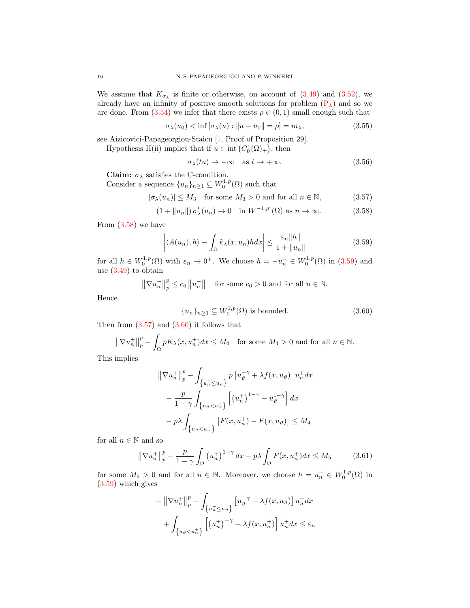We assume that  $K_{\sigma_{\lambda}}$  is finite or otherwise, on account of [\(3.49\)](#page-14-2) and [\(3.52\)](#page-14-4), we already have an infinity of positive smooth solutions for problem  $(P_\lambda)$  and so we are done. From  $(3.54)$  we infer that there exists  $\rho \in (0,1)$  small enough such that

$$
\sigma_{\lambda}(u_0) < \inf \left[ \sigma_{\lambda}(u) : \|u - u_0\| = \rho \right] = m_{\lambda},\tag{3.55}
$$

see Aizicovici-Papageorgiou-Staicu [\[1,](#page-20-14) Proof of Proposition 29].

Hypothesis H(ii) implies that if  $u \in \text{int}(C_0^1(\overline{\Omega})_+)$ , then

<span id="page-15-6"></span><span id="page-15-5"></span><span id="page-15-2"></span><span id="page-15-1"></span><span id="page-15-0"></span>
$$
\sigma_{\lambda}(tu) \to -\infty \quad \text{as } t \to +\infty. \tag{3.56}
$$

Claim:  $\sigma_{\lambda}$  satisfies the C-condition.

Consider a sequence  $\{u_n\}_{n\geq 1} \subseteq W_0^{1,p}(\Omega)$  such that

$$
|\sigma_{\lambda}(u_n)| \le M_3 \quad \text{for some } M_3 > 0 \text{ and for all } n \in \mathbb{N}, \tag{3.57}
$$

$$
(1 + \|u_n\|)\sigma'_{\lambda}(u_n) \to 0 \quad \text{in } W^{-1,p'}(\Omega) \text{ as } n \to \infty.
$$
 (3.58)

From [\(3.58\)](#page-15-0) we have

$$
\left| \langle A(u_n), h \rangle - \int_{\Omega} k_{\lambda}(x, u_n) h dx \right| \le \frac{\varepsilon_n ||h||}{1 + ||u_n||} \tag{3.59}
$$

for all  $h \in W_0^{1,p}(\Omega)$  with  $\varepsilon_n \to 0^+$ . We choose  $h = -u_n^- \in W_0^{1,p}(\Omega)$  in  $(3.59)$  and use [\(3.49\)](#page-14-2) to obtain

> $\left\Vert \nabla u_{n}^{-}\right\Vert$ p  $p_p^p \leq c_6 ||u_n^-||$  for some  $c_6 > 0$  and for all  $n \in \mathbb{N}$ .

Hence

<span id="page-15-3"></span>
$$
\{u_n\}_{n\geq 1} \subseteq W_0^{1,p}(\Omega) \text{ is bounded.}
$$
\n
$$
(3.60)
$$

Then from  $(3.57)$  and  $(3.60)$  it follows that

$$
\left\|\nabla u_n^+\right\|_p^p - \int_{\Omega} p\hat{K}_{\lambda}(x, u_n^+)dx \le M_4 \quad \text{for some } M_4 > 0 \text{ and for all } n \in \mathbb{N}.
$$

This implies

$$
\|\nabla u_n^+\|_p^p - \int_{\{u_n^+\leq u_\partial\}} p\left[u_\partial^{-\gamma} + \lambda f(x, u_\partial)\right] u_n^+ dx
$$
  

$$
- \frac{p}{1-\gamma} \int_{\{u_\partial < u_n^+\}} \left[ (u_n^+)^{1-\gamma} - u_\partial^{1-\gamma} \right] dx
$$
  

$$
- p\lambda \int_{\{u_\partial < u_n^+\}} \left[ F(x, u_n^+) - F(x, u_\partial) \right] \leq M_4
$$

for all  $n \in \mathbb{N}$  and so

$$
\left\|\nabla u_n^+\right\|_p^p - \frac{p}{1-\gamma} \int_{\Omega} \left(u_n^+\right)^{1-\gamma} dx - p\lambda \int_{\Omega} F(x, u_n^+) dx \le M_5 \tag{3.61}
$$

for some  $M_5 > 0$  and for all  $n \in \mathbb{N}$ . Moreover, we choose  $h = u_n^+ \in W_0^{1,p}(\Omega)$  in [\(3.59\)](#page-15-1) which gives

<span id="page-15-4"></span>
$$
-\left\|\nabla u_n^+\right\|_p^p + \int_{\left\{u_n^+\leq u_\vartheta\right\}} \left[u_\vartheta^{-\gamma} + \lambda f(x, u_\vartheta)\right] u_n^+ dx
$$

$$
+ \int_{\left\{u_\vartheta < u_n^+\right\}} \left[\left(u_n^+\right)^{-\gamma} + \lambda f(x, u_n^+)\right] u_n^+ dx \leq \varepsilon_n
$$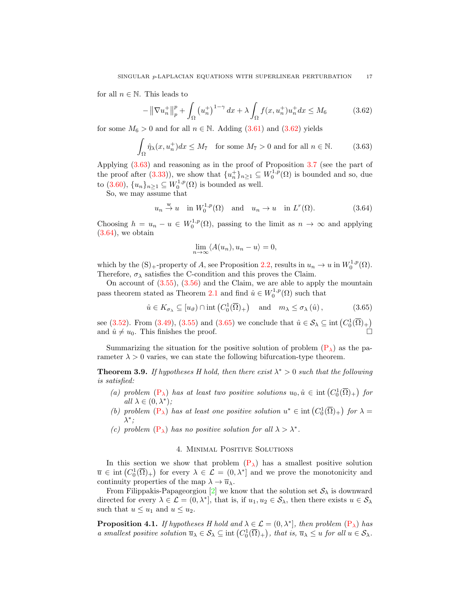for all  $n \in \mathbb{N}$ . This leads to

<span id="page-16-0"></span>
$$
-\left\|\nabla u_n^+\right\|_p^p + \int_{\Omega} \left(u_n^+\right)^{1-\gamma} dx + \lambda \int_{\Omega} f(x, u_n^+) u_n^+ dx \le M_6 \tag{3.62}
$$

for some  $M_6 > 0$  and for all  $n \in \mathbb{N}$ . Adding  $(3.61)$  and  $(3.62)$  yields

$$
\int_{\Omega} \hat{\eta}_{\lambda}(x, u_n^+) dx \le M_7 \quad \text{for some } M_7 > 0 \text{ and for all } n \in \mathbb{N}.
$$
 (3.63)

Applying [\(3.63\)](#page-16-1) and reasoning as in the proof of Proposition [3.7](#page-10-4) (see the part of the proof after [\(3.33\)](#page-11-6)), we show that  $\{u_n^+\}_{n\geq 1} \subseteq W_0^{1,p}(\Omega)$  is bounded and so, due to [\(3.60\)](#page-15-3),  $\{u_n\}_{n\geq 1} \subseteq W_0^{1,p}(\Omega)$  is bounded as well.

So, we may assume that

$$
u_n \stackrel{w}{\to} u
$$
 in  $W_0^{1,p}(\Omega)$  and  $u_n \to u$  in  $L^r(\Omega)$ . (3.64)

Choosing  $h = u_n - u \in W_0^{1,p}(\Omega)$ , passing to the limit as  $n \to \infty$  and applying  $(3.64)$ , we obtain

<span id="page-16-3"></span><span id="page-16-2"></span><span id="page-16-1"></span>
$$
\lim_{n \to \infty} \langle A(u_n), u_n - u \rangle = 0,
$$

which by the  $(S)$ <sub>+</sub>-property of A, see Proposition [2.2,](#page-2-1) results in  $u_n \to u$  in  $W_0^{1,p}(\Omega)$ . Therefore,  $\sigma_{\lambda}$  satisfies the C-condition and this proves the Claim.

On account of  $(3.55)$ ,  $(3.56)$  and the Claim, we are able to apply the mountain pass theorem stated as Theorem [2.1](#page-1-0) and find  $\hat{u} \in W_0^{1,p}(\Omega)$  such that

$$
\hat{u} \in K_{\sigma_{\lambda}} \subseteq [u_{\vartheta}) \cap \text{int}\left(C_0^1(\overline{\Omega})_+\right) \quad \text{and} \quad m_{\lambda} \le \sigma_{\lambda}(\hat{u}), \tag{3.65}
$$

see [\(3.52\)](#page-14-4). From [\(3.49\)](#page-14-2), [\(3.55\)](#page-15-5) and [\(3.65\)](#page-16-3) we conclude that  $\hat{u} \in \mathcal{S}_{\lambda} \subseteq \text{int}(C_0^1(\overline{\Omega})_+)$ and  $\hat{u} \neq u_0$ . This finishes the proof.

Summarizing the situation for the positive solution of problem  $(P_{\lambda})$  as the parameter  $\lambda > 0$  varies, we can state the following bifurcation-type theorem.

**Theorem 3.9.** If hypotheses H hold, then there exist  $\lambda^* > 0$  such that the following is satisfied:

- (a) problem  $(P_{\lambda})$  $(P_{\lambda})$  has at least two positive solutions  $u_0, \hat{u} \in \text{int}(C_0^1(\overline{\Omega})_+)$  for all  $\lambda \in (0, \lambda^*)$ ;
- (b) problem  $(P_{\lambda})$  $(P_{\lambda})$  has at least one positive solution  $u^* \in \text{int}(C_0^1(\overline{\Omega})_+)$  for  $\lambda =$  $\lambda^*$ ;
- (c) problem  $(P_{\lambda})$  $(P_{\lambda})$  has no positive solution for all  $\lambda > \lambda^*$ .

#### 4. Minimal Positive Solutions

In this section we show that problem  $(P_{\lambda})$  has a smallest positive solution  $\overline{u} \in \text{int}(C_0^1(\overline{\Omega})_+)$  for every  $\lambda \in \mathcal{L} = (0, \lambda^*]$  and we prove the monotonicity and continuity properties of the map  $\lambda \to \overline{u}_{\lambda}$ .

From Filippakis-Papageorgiou [\[2\]](#page-20-15) we know that the solution set  $S_\lambda$  is downward directed for every  $\lambda \in \mathcal{L} = (0, \lambda^*]$ , that is, if  $u_1, u_2 \in \mathcal{S}_{\lambda}$ , then there exists  $u \in \mathcal{S}_{\lambda}$ such that  $u \leq u_1$  and  $u \leq u_2$ .

<span id="page-16-4"></span>**Proposition 4.1.** If hypotheses H hold and  $\lambda \in \mathcal{L} = (0, \lambda^*]$ , then problem  $(P_{\lambda})$  $(P_{\lambda})$  has a smallest positive solution  $\overline{u}_{\lambda} \in \mathcal{S}_{\lambda} \subseteq \text{int}(C_0^1(\overline{\Omega})_+)$ , that is,  $\overline{u}_{\lambda} \leq u$  for all  $u \in \mathcal{S}_{\lambda}$ .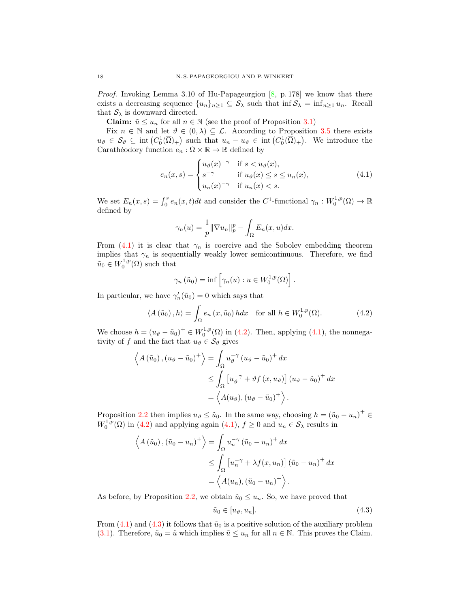*Proof.* Invoking Lemma 3.10 of Hu-Papageorgiou  $[8, p. 178]$  we know that there exists a decreasing sequence  $\{u_n\}_{n\geq 1} \subseteq S_\lambda$  such that inf  $S_\lambda = \inf_{n\geq 1} u_n$ . Recall that  $S_{\lambda}$  is downward directed.

**Claim:**  $\tilde{u} \leq u_n$  for all  $n \in \mathbb{N}$  (see the proof of Proposition [3.1\)](#page-4-4)

Fix  $n \in \mathbb{N}$  and let  $\vartheta \in (0, \lambda) \subseteq \mathcal{L}$ . According to Proposition [3.5](#page-8-3) there exists  $u_{\vartheta} \in \mathcal{S}_{\vartheta} \subseteq \text{int}\left(C_0^1(\overline{\Omega})_+\right)$  such that  $u_n - u_{\vartheta} \in \text{int}\left(C_0^1(\overline{\Omega})_+\right)$ . We introduce the Carathéodory function  $e_n : \Omega \times \mathbb{R} \to \mathbb{R}$  defined by

$$
e_n(x,s) = \begin{cases} u_{\vartheta}(x)^{-\gamma} & \text{if } s < u_{\vartheta}(x), \\ s^{-\gamma} & \text{if } u_{\vartheta}(x) \le s \le u_n(x), \\ u_n(x)^{-\gamma} & \text{if } u_n(x) < s. \end{cases} \tag{4.1}
$$

We set  $E_n(x,s) = \int_0^s e_n(x,t)dt$  and consider the C<sup>1</sup>-functional  $\gamma_n : W_0^{1,p}(\Omega) \to \mathbb{R}$ defined by

<span id="page-17-0"></span>
$$
\gamma_n(u) = \frac{1}{p} \|\nabla u_n\|_p^p - \int_{\Omega} E_n(x, u) dx.
$$

From [\(4.1\)](#page-17-0) it is clear that  $\gamma_n$  is coercive and the Sobolev embedding theorem implies that  $\gamma_n$  is sequentially weakly lower semicontinuous. Therefore, we find  $\tilde{u}_0 \in W_0^{1,p}(\Omega)$  such that

<span id="page-17-1"></span>
$$
\gamma_n(\tilde{u}_0) = \inf \left[ \gamma_n(u) : u \in W_0^{1,p}(\Omega) \right].
$$

In particular, we have  $\gamma'_n(\tilde{u}_0) = 0$  which says that

$$
\langle A(\tilde{u}_0), h \rangle = \int_{\Omega} e_n(x, \tilde{u}_0) h dx \quad \text{for all } h \in W_0^{1, p}(\Omega). \tag{4.2}
$$

We choose  $h = (u_{\vartheta} - \tilde{u}_0)^+ \in W_0^{1,p}(\Omega)$  in [\(4.2\)](#page-17-1). Then, applying [\(4.1\)](#page-17-0), the nonnegativity of f and the fact that  $u_{\vartheta} \in \mathcal{S}_{\vartheta}$  gives

$$
\left\langle A(\tilde{u}_0), (u_{\vartheta} - \tilde{u}_0)^+ \right\rangle = \int_{\Omega} u_{\vartheta}^{-\gamma} (u_{\vartheta} - \tilde{u}_0)^+ dx
$$
  

$$
\leq \int_{\Omega} \left[ u_{\vartheta}^{-\gamma} + \vartheta f(x, u_{\vartheta}) \right] (u_{\vartheta} - \tilde{u}_0)^+ dx
$$
  

$$
= \left\langle A(u_{\vartheta}), (u_{\vartheta} - \tilde{u}_0)^+ \right\rangle.
$$

Proposition [2.2](#page-2-1) then implies  $u_{\vartheta} \leq \tilde{u}_0$ . In the same way, choosing  $h = (\tilde{u}_0 - u_n)^+ \in$  $W_0^{1,p}(\Omega)$  in [\(4.2\)](#page-17-1) and applying again [\(4.1\)](#page-17-0),  $f \ge 0$  and  $u_n \in \mathcal{S}_{\lambda}$  results in

$$
\left\langle A(\tilde{u}_0), (\tilde{u}_0 - u_n)^+ \right\rangle = \int_{\Omega} u_n^{-\gamma} (\tilde{u}_0 - u_n)^+ dx
$$
  
\n
$$
\leq \int_{\Omega} \left[ u_n^{-\gamma} + \lambda f(x, u_n) \right] (\tilde{u}_0 - u_n)^+ dx
$$
  
\n
$$
= \left\langle A(u_n), (\tilde{u}_0 - u_n)^+ \right\rangle.
$$

As before, by Proposition [2.2,](#page-2-1) we obtain  $\tilde{u}_0 \leq u_n$ . So, we have proved that

<span id="page-17-2"></span>
$$
\tilde{u}_0 \in [u_\vartheta, u_n].\tag{4.3}
$$

From [\(4.1\)](#page-17-0) and [\(4.3\)](#page-17-2) it follows that  $\tilde{u}_0$  is a positive solution of the auxiliary problem [\(3.1\)](#page-4-0). Therefore,  $\tilde{u}_0 = \tilde{u}$  which implies  $\tilde{u} \leq u_n$  for all  $n \in \mathbb{N}$ . This proves the Claim.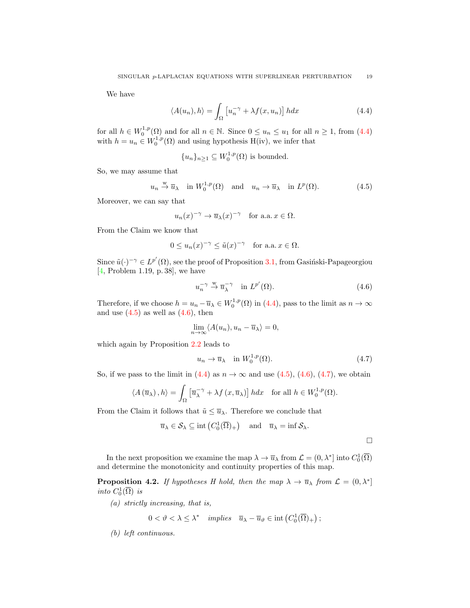We have

$$
\langle A(u_n), h \rangle = \int_{\Omega} \left[ u_n^{-\gamma} + \lambda f(x, u_n) \right] h dx \tag{4.4}
$$

for all  $h \in W_0^{1,p}(\Omega)$  and for all  $n \in \mathbb{N}$ . Since  $0 \le u_n \le u_1$  for all  $n \ge 1$ , from [\(4.4\)](#page-18-0) with  $h = u_n \in W_0^{1,p}(\Omega)$  and using hypothesis H(iv), we infer that

<span id="page-18-1"></span><span id="page-18-0"></span>
$$
{u_n}_{n\geq 1} \subseteq W_0^{1,p}(\Omega)
$$
 is bounded.

So, we may assume that

$$
u_n \stackrel{w}{\to} \overline{u}_\lambda
$$
 in  $W_0^{1,p}(\Omega)$  and  $u_n \to \overline{u}_\lambda$  in  $L^p(\Omega)$ . (4.5)

Moreover, we can say that

$$
u_n(x)^{-\gamma} \to \overline{u}_{\lambda}(x)^{-\gamma}
$$
 for a.a.  $x \in \Omega$ .

From the Claim we know that

$$
0 \le u_n(x)^{-\gamma} \le \tilde{u}(x)^{-\gamma} \quad \text{for a.a. } x \in \Omega.
$$

Since  $\tilde{u}(\cdot)^{-\gamma} \in L^{p'}(\Omega)$ , see the proof of Proposition [3.1,](#page-4-4) from Gasinski-Papageorgiou [\[4,](#page-20-4) Problem 1.19, p. 38], we have

<span id="page-18-2"></span>
$$
u_n^{-\gamma} \stackrel{\text{w}}{\to} \overline{u}_\lambda^{-\gamma} \quad \text{in } L^{p'}(\Omega). \tag{4.6}
$$

Therefore, if we choose  $h = u_n - \overline{u}_{\lambda} \in W_0^{1,p}(\Omega)$  in [\(4.4\)](#page-18-0), pass to the limit as  $n \to \infty$ and use  $(4.5)$  as well as  $(4.6)$ , then

$$
\lim_{n \to \infty} \langle A(u_n), u_n - \overline{u}_\lambda \rangle = 0,
$$

which again by Proposition [2.2](#page-2-1) leads to

<span id="page-18-3"></span>
$$
u_n \to \overline{u}_\lambda \quad \text{in } W_0^{1,p}(\Omega). \tag{4.7}
$$

So, if we pass to the limit in [\(4.4\)](#page-18-0) as  $n \to \infty$  and use [\(4.5\)](#page-18-1), [\(4.6\)](#page-18-2), [\(4.7\)](#page-18-3), we obtain

$$
\langle A(\overline{u}_{\lambda}), h \rangle = \int_{\Omega} \left[ \overline{u}_{\lambda}^{-\gamma} + \lambda f(x, \overline{u}_{\lambda}) \right] h dx \quad \text{for all } h \in W_0^{1, p}(\Omega).
$$

From the Claim it follows that  $\tilde{u} \leq \overline{u}_{\lambda}$ . Therefore we conclude that

$$
\overline{u}_{\lambda} \in \mathcal{S}_{\lambda} \subseteq \text{int}\left(C_0^1(\overline{\Omega})_+\right) \quad \text{and} \quad \overline{u}_{\lambda} = \text{inf}\,\mathcal{S}_{\lambda}.
$$

In the next proposition we examine the map  $\lambda \to \overline{u}_{\lambda}$  from  $\mathcal{L} = (0, \lambda^*]$  into  $C_0^1(\overline{\Omega})$ and determine the monotonicity and continuity properties of this map.

**Proposition 4.2.** If hypotheses H hold, then the map  $\lambda \to \overline{u}_{\lambda}$  from  $\mathcal{L} = (0, \lambda^*)$ into  $C_0^1(\overline{\Omega})$  is

(a) strictly increasing, that is,

$$
0 < \vartheta < \lambda \leq \lambda^* \quad implies \quad \overline{u}_{\lambda} - \overline{u}_{\vartheta} \in int\left(C_0^1(\overline{\Omega})_+\right);
$$

(b) left continuous.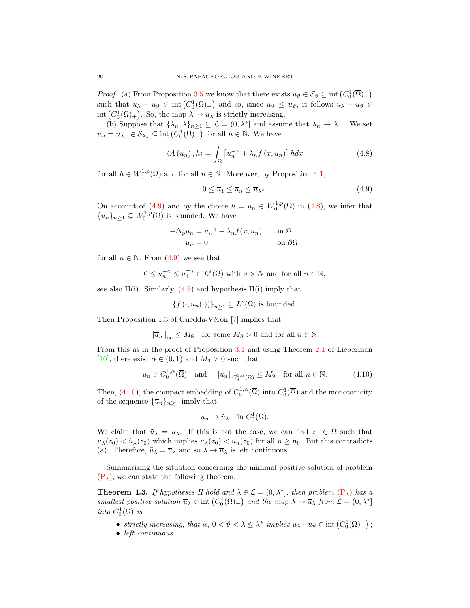*Proof.* (a) From Proposition [3.5](#page-8-3) we know that there exists  $u_{\vartheta} \in \mathcal{S}_{\vartheta} \subseteq \text{int}(C_0^1(\overline{\Omega})_+)$ such that  $\overline{u}_{\lambda} - u_{\vartheta} \in \text{int}\left( C_0^1(\overline{\Omega})_+ \right)$  and so, since  $\overline{u}_{\vartheta} \leq u_{\vartheta}$ , it follows  $\overline{u}_{\lambda} - \overline{u}_{\vartheta} \in$ int  $(C_0^1(\overline{\Omega})_+)$ . So, the map  $\lambda \to \overline{u}_{\lambda}$  is strictly increasing.

(b) Suppose that  $\{\lambda_n, \lambda\}_{n\geq 1} \subseteq \mathcal{L} = (0, \lambda^*)$  and assume that  $\lambda_n \to \lambda^-$ . We set  $\overline{u}_n = \overline{u}_{\lambda_n} \in \mathcal{S}_{\lambda_n} \subseteq \text{int}\left(C_0^1(\overline{\Omega})_+\right)$  for all  $n \in \mathbb{N}$ . We have

$$
\langle A(\overline{u}_n), h \rangle = \int_{\Omega} \left[ \overline{u}_n^{\, \gamma} + \lambda_n f(x, \overline{u}_n) \right] h dx \tag{4.8}
$$

for all  $h \in W_0^{1,p}(\Omega)$  and for all  $n \in \mathbb{N}$ . Moreover, by Proposition [4.1,](#page-16-4)

<span id="page-19-1"></span><span id="page-19-0"></span>
$$
0 \le \overline{u}_1 \le \overline{u}_n \le \overline{u}_{\lambda^*}.\tag{4.9}
$$

On account of [\(4.9\)](#page-19-0) and by the choice  $h = \overline{u}_n \in W_0^{1,p}(\Omega)$  in [\(4.8\)](#page-19-1), we infer that  ${\{\overline{u}_n\}}_{n\geq 1} \subseteq W_0^{1,p}(\Omega)$  is bounded. We have

$$
-\Delta_p \overline{u}_n = \overline{u}_n^{-\gamma} + \lambda_n f(x, u_n) \quad \text{in } \Omega,
$$
  

$$
\overline{u}_n = 0 \quad \text{on } \partial\Omega,
$$

for all  $n \in \mathbb{N}$ . From  $(4.9)$  we see that

$$
0 \le \overline{u}_n^{-\gamma} \le \overline{u}_1^{-\gamma} \in L^s(\Omega) \text{ with } s > N \text{ and for all } n \in \mathbb{N},
$$

see also  $H(i)$ . Similarly,  $(4.9)$  and hypothesis  $H(i)$  imply that

$$
\{f(\cdot,\overline{u}_n(\cdot))\}_{n\geq 1}\subseteq L^s(\Omega)
$$
 is bounded.

Then Proposition 1.3 of Guedda-Véron  $[7]$  implies that

$$
\|\overline{u}_n\|_{\infty}\leq M_8\quad\text{for some $M_8>0$ and for all $n\in\mathbb{N}$}.
$$

From this as in the proof of Proposition [3.1](#page-4-4) and using Theorem [2.1](#page-1-0) of Lieberman [\[10\]](#page-20-11), there exist  $\alpha \in (0,1)$  and  $M_9 > 0$  such that

$$
\overline{u}_n \in C_0^{1,\alpha}(\overline{\Omega}) \quad \text{and} \quad \|\overline{u}_n\|_{C_0^{1,\alpha}(\overline{\Omega})} \le M_9 \quad \text{for all } n \in \mathbb{N}.\tag{4.10}
$$

Then, [\(4.10\)](#page-19-2), the compact embedding of  $C_0^{1,\alpha}(\overline{\Omega})$  into  $C_0^1(\overline{\Omega})$  and the monotonicity of the sequence  ${\overline{u}_n}_{n\geq 1}$  imply that

<span id="page-19-2"></span>
$$
\overline{u}_n \to \tilde{u}_\lambda
$$
 in  $C_0^1(\overline{\Omega})$ .

We claim that  $\tilde{u}_{\lambda} = \overline{u}_{\lambda}$ . If this is not the case, we can find  $z_0 \in \Omega$  such that  $\overline{u}_{\lambda}(z_0) < \tilde{u}_{\lambda}(z_0)$  which implies  $\overline{u}_{\lambda}(z_0) < \overline{u}_{n}(z_0)$  for all  $n \geq n_0$ . But this contradicts (a). Therefore,  $\tilde{u}_{\lambda} = \overline{u}_{\lambda}$  and so  $\lambda \to \overline{u}_{\lambda}$  is left continuous.

Summarizing the situation concerning the minimal positive solution of problem  $(P_{\lambda})$  $(P_{\lambda})$ , we can state the following theorem.

**Theorem 4.3.** If hypotheses H hold and  $\lambda \in \mathcal{L} = (0, \lambda^*]$ , then problem  $(P_{\lambda})$  $(P_{\lambda})$  has a smallest positive solution  $\overline{u}_{\lambda} \in \text{int}\left(C_0^1(\overline{\Omega})_+\right)$  and the map  $\lambda \to \overline{u}_{\lambda}$  from  $\mathcal{L} = (0, \lambda^*)$ into  $C_0^1(\overline{\Omega})$  is

- strictly increasing, that is,  $0 < \vartheta < \lambda \leq \lambda^*$  implies  $\overline{u}_{\lambda} \overline{u}_{\vartheta} \in \text{int}(C_0^1(\overline{\Omega})_+)$ ;
- left continuous.